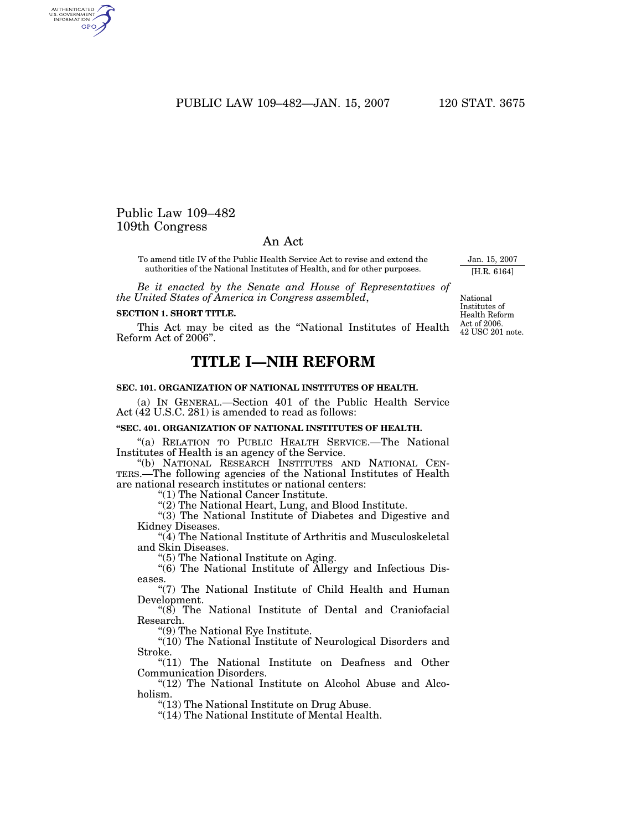PUBLIC LAW 109–482—JAN. 15, 2007 120 STAT. 3675

# Public Law 109–482 109th Congress

# An Act

To amend title IV of the Public Health Service Act to revise and extend the authorities of the National Institutes of Health, and for other purposes.

*Be it enacted by the Senate and House of Representatives of the United States of America in Congress assembled*,

#### **SECTION 1. SHORT TITLE.**

This Act may be cited as the "National Institutes of Health  $\frac{\text{Act of }2006.}{42 \text{ IISC 201}}$ Reform Act of 2006''.

# **TITLE I—NIH REFORM**

# **SEC. 101. ORGANIZATION OF NATIONAL INSTITUTES OF HEALTH.**

(a) IN GENERAL.—Section 401 of the Public Health Service Act (42 U.S.C. 281) is amended to read as follows:

# **''SEC. 401. ORGANIZATION OF NATIONAL INSTITUTES OF HEALTH.**

''(a) RELATION TO PUBLIC HEALTH SERVICE.—The National Institutes of Health is an agency of the Service.

''(b) NATIONAL RESEARCH INSTITUTES AND NATIONAL CEN-TERS.—The following agencies of the National Institutes of Health are national research institutes or national centers:

''(1) The National Cancer Institute.

''(2) The National Heart, Lung, and Blood Institute.

''(3) The National Institute of Diabetes and Digestive and Kidney Diseases.

''(4) The National Institute of Arthritis and Musculoskeletal and Skin Diseases.

''(5) The National Institute on Aging.

''(6) The National Institute of Allergy and Infectious Diseases.

"(7) The National Institute of Child Health and Human Development.

 $\degree$ (8) The National Institute of Dental and Craniofacial Research.

''(9) The National Eye Institute.

"(10) The National Institute of Neurological Disorders and Stroke.

"(11) The National Institute on Deafness and Other Communication Disorders.

"(12) The National Institute on Alcohol Abuse and Alcoholism.

''(13) The National Institute on Drug Abuse.

''(14) The National Institute of Mental Health.

National Institutes of Health Reform

42 USC 201 note.

Jan. 15, 2007 [H.R. 6164]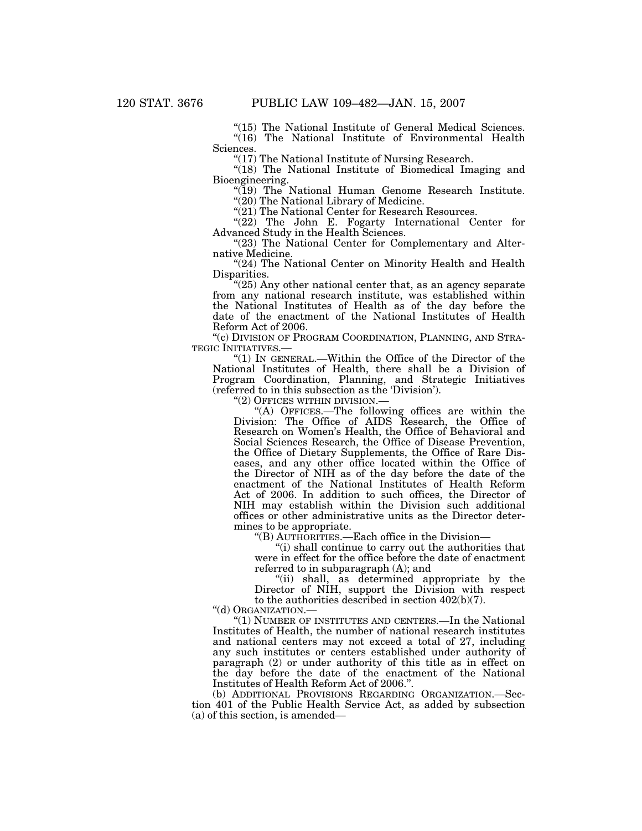"(15) The National Institute of General Medical Sciences.  $''(16)$  The National Institute of Environmental Health Sciences.

''(17) The National Institute of Nursing Research.

"(18) The National Institute of Biomedical Imaging and Bioengineering.

''(19) The National Human Genome Research Institute. "(20) The National Library of Medicine.

"(21) The National Center for Research Resources.

"(22) The John E. Fogarty International Center for Advanced Study in the Health Sciences.

"(23) The National Center for Complementary and Alternative Medicine.

"(24) The National Center on Minority Health and Health Disparities.

"(25) Any other national center that, as an agency separate from any national research institute, was established within the National Institutes of Health as of the day before the date of the enactment of the National Institutes of Health Reform Act of 2006.

''(c) DIVISION OF PROGRAM COORDINATION, PLANNING, AND STRA-TEGIC INITIATIVES.—

''(1) IN GENERAL.—Within the Office of the Director of the National Institutes of Health, there shall be a Division of Program Coordination, Planning, and Strategic Initiatives (referred to in this subsection as the 'Division').

''(2) OFFICES WITHIN DIVISION.—

''(A) OFFICES.—The following offices are within the Division: The Office of AIDS Research, the Office of Research on Women's Health, the Office of Behavioral and Social Sciences Research, the Office of Disease Prevention, the Office of Dietary Supplements, the Office of Rare Diseases, and any other office located within the Office of the Director of NIH as of the day before the date of the enactment of the National Institutes of Health Reform Act of 2006. In addition to such offices, the Director of NIH may establish within the Division such additional offices or other administrative units as the Director determines to be appropriate.

''(B) AUTHORITIES.—Each office in the Division—

"(i) shall continue to carry out the authorities that were in effect for the office before the date of enactment referred to in subparagraph (A); and

"(ii) shall, as determined appropriate by the Director of NIH, support the Division with respect to the authorities described in section 402(b)(7).

''(d) ORGANIZATION.—

"(1) NUMBER OF INSTITUTES AND CENTERS.—In the National Institutes of Health, the number of national research institutes and national centers may not exceed a total of 27, including any such institutes or centers established under authority of paragraph (2) or under authority of this title as in effect on the day before the date of the enactment of the National Institutes of Health Reform Act of 2006.''.

(b) ADDITIONAL PROVISIONS REGARDING ORGANIZATION.—Section 401 of the Public Health Service Act, as added by subsection (a) of this section, is amended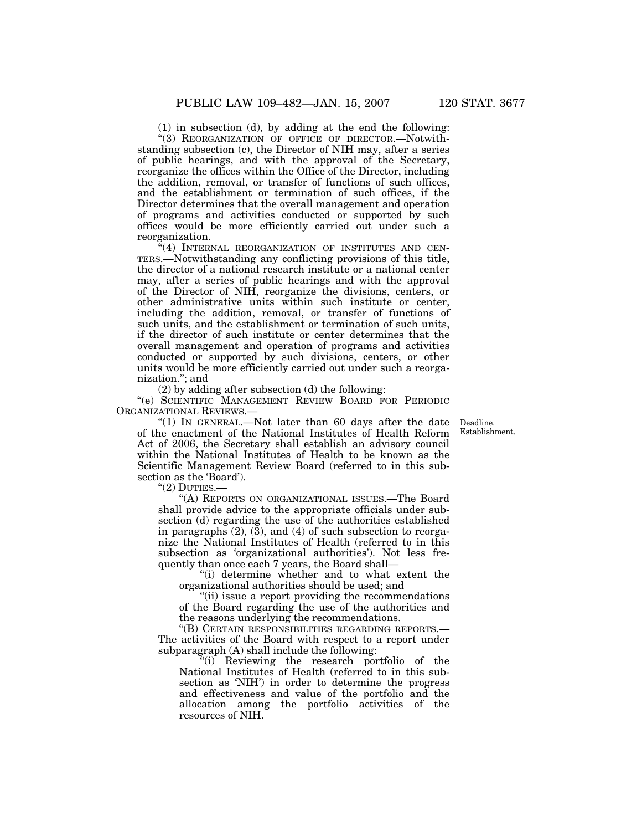(1) in subsection (d), by adding at the end the following:

''(3) REORGANIZATION OF OFFICE OF DIRECTOR.—Notwithstanding subsection (c), the Director of NIH may, after a series of public hearings, and with the approval of the Secretary, reorganize the offices within the Office of the Director, including the addition, removal, or transfer of functions of such offices, and the establishment or termination of such offices, if the Director determines that the overall management and operation of programs and activities conducted or supported by such offices would be more efficiently carried out under such a reorganization.

 $\mathbb{H}(4)$  INTERNAL REORGANIZATION OF INSTITUTES AND CEN-TERS.—Notwithstanding any conflicting provisions of this title, the director of a national research institute or a national center may, after a series of public hearings and with the approval of the Director of NIH, reorganize the divisions, centers, or other administrative units within such institute or center, including the addition, removal, or transfer of functions of such units, and the establishment or termination of such units, if the director of such institute or center determines that the overall management and operation of programs and activities conducted or supported by such divisions, centers, or other units would be more efficiently carried out under such a reorganization.''; and

(2) by adding after subsection (d) the following:

''(e) SCIENTIFIC MANAGEMENT REVIEW BOARD FOR PERIODIC ORGANIZATIONAL REVIEWS.—

> Deadline. Establishment.

"(1) IN GENERAL.—Not later than 60 days after the date of the enactment of the National Institutes of Health Reform Act of 2006, the Secretary shall establish an advisory council within the National Institutes of Health to be known as the Scientific Management Review Board (referred to in this subsection as the 'Board').

 $''(2)$  DUTIES.-

''(A) REPORTS ON ORGANIZATIONAL ISSUES.—The Board shall provide advice to the appropriate officials under subsection (d) regarding the use of the authorities established in paragraphs (2), (3), and (4) of such subsection to reorganize the National Institutes of Health (referred to in this subsection as 'organizational authorities'). Not less frequently than once each 7 years, the Board shall—

''(i) determine whether and to what extent the organizational authorities should be used; and

"(ii) issue a report providing the recommendations" of the Board regarding the use of the authorities and the reasons underlying the recommendations.

''(B) CERTAIN RESPONSIBILITIES REGARDING REPORTS.— The activities of the Board with respect to a report under subparagraph (A) shall include the following:

''(i) Reviewing the research portfolio of the National Institutes of Health (referred to in this subsection as 'NIH') in order to determine the progress and effectiveness and value of the portfolio and the allocation among the portfolio activities of the resources of NIH.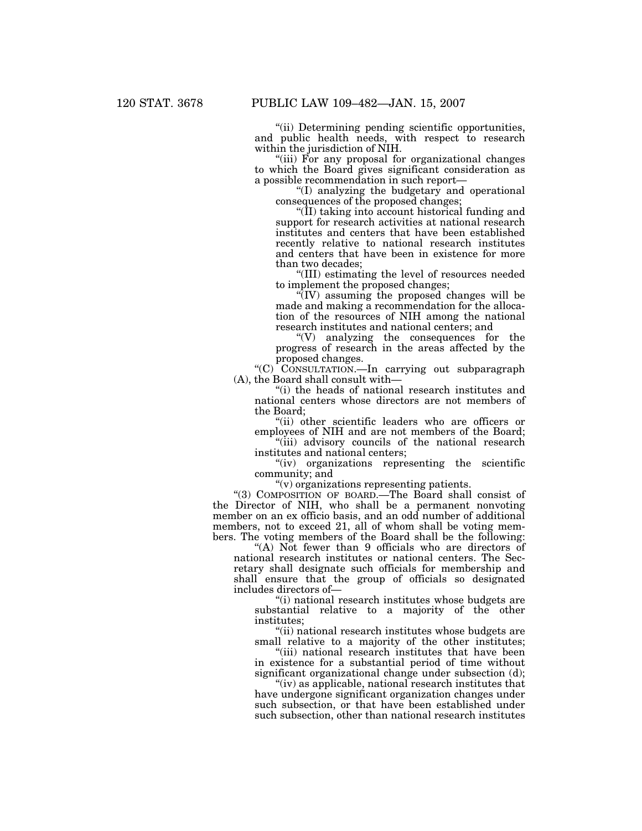''(ii) Determining pending scientific opportunities, and public health needs, with respect to research within the jurisdiction of NIH.

''(iii) For any proposal for organizational changes to which the Board gives significant consideration as a possible recommendation in such report—

''(I) analyzing the budgetary and operational consequences of the proposed changes;

 $\sqrt{\text{II}}$ ) taking into account historical funding and support for research activities at national research institutes and centers that have been established recently relative to national research institutes and centers that have been in existence for more than two decades;

''(III) estimating the level of resources needed to implement the proposed changes;

 $\sqrt{\rm TUV}$  assuming the proposed changes will be made and making a recommendation for the allocation of the resources of NIH among the national research institutes and national centers; and

''(V) analyzing the consequences for the progress of research in the areas affected by the proposed changes.

"(C) CONSULTATION.—In carrying out subparagraph (A), the Board shall consult with—

''(i) the heads of national research institutes and national centers whose directors are not members of the Board;

''(ii) other scientific leaders who are officers or employees of NIH and are not members of the Board;

''(iii) advisory councils of the national research institutes and national centers;

''(iv) organizations representing the scientific community; and

''(v) organizations representing patients.

''(3) COMPOSITION OF BOARD.—The Board shall consist of the Director of NIH, who shall be a permanent nonvoting member on an ex officio basis, and an odd number of additional members, not to exceed 21, all of whom shall be voting members. The voting members of the Board shall be the following:

"(A) Not fewer than 9 officials who are directors of national research institutes or national centers. The Secretary shall designate such officials for membership and shall ensure that the group of officials so designated includes directors of—

''(i) national research institutes whose budgets are substantial relative to a majority of the other institutes;

''(ii) national research institutes whose budgets are small relative to a majority of the other institutes;

"(iii) national research institutes that have been in existence for a substantial period of time without significant organizational change under subsection (d);

"(iv) as applicable, national research institutes that have undergone significant organization changes under such subsection, or that have been established under such subsection, other than national research institutes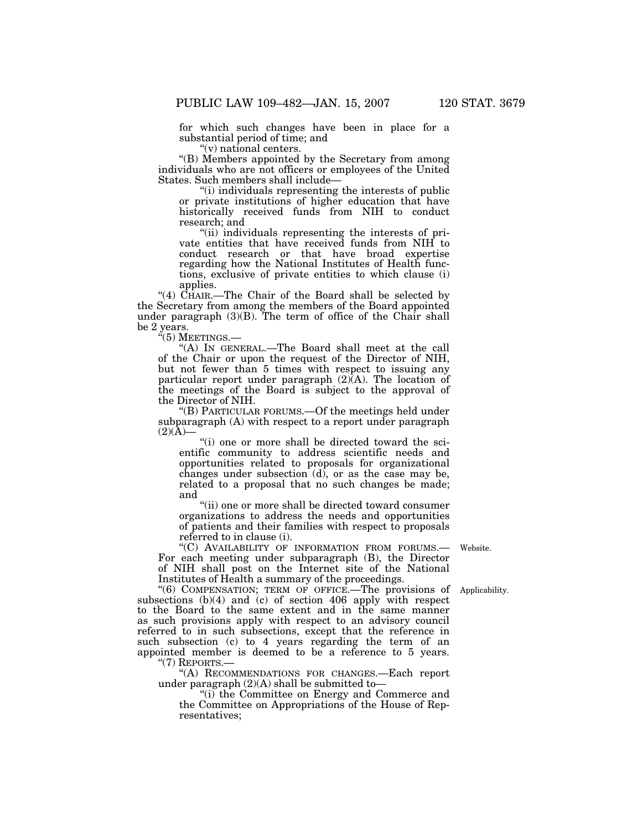for which such changes have been in place for a substantial period of time; and

''(v) national centers.

''(B) Members appointed by the Secretary from among individuals who are not officers or employees of the United States. Such members shall include—

''(i) individuals representing the interests of public or private institutions of higher education that have historically received funds from NIH to conduct research; and

''(ii) individuals representing the interests of private entities that have received funds from NIH to conduct research or that have broad expertise regarding how the National Institutes of Health functions, exclusive of private entities to which clause (i) applies.

"(4)  $\hat{CHAIR}$ . The Chair of the Board shall be selected by the Secretary from among the members of the Board appointed under paragraph (3)(B). The term of office of the Chair shall be 2 years.

 $\cdot\text{``(5)}$  Meetings.—

''(A) IN GENERAL.—The Board shall meet at the call of the Chair or upon the request of the Director of NIH, but not fewer than 5 times with respect to issuing any particular report under paragraph  $(2)$  $(A)$ . The location of the meetings of the Board is subject to the approval of the Director of NIH.

''(B) PARTICULAR FORUMS.—Of the meetings held under subparagraph (A) with respect to a report under paragraph  $(2)(\tilde{A})$ —

''(i) one or more shall be directed toward the scientific community to address scientific needs and opportunities related to proposals for organizational changes under subsection  $(d)$ , or as the case may be, related to a proposal that no such changes be made; and

''(ii) one or more shall be directed toward consumer organizations to address the needs and opportunities of patients and their families with respect to proposals referred to in clause (i).

''(C) AVAILABILITY OF INFORMATION FROM FORUMS.— For each meeting under subparagraph (B), the Director of NIH shall post on the Internet site of the National Institutes of Health a summary of the proceedings.

''(6) COMPENSATION; TERM OF OFFICE.—The provisions of Applicability. subsections (b)(4) and (c) of section 406 apply with respect to the Board to the same extent and in the same manner as such provisions apply with respect to an advisory council referred to in such subsections, except that the reference in such subsection (c) to 4 years regarding the term of an appointed member is deemed to be a reference to 5 years.  $''(7)$  REPORTS. $-$ 

''(A) RECOMMENDATIONS FOR CHANGES.—Each report under paragraph  $(2)(A)$  shall be submitted to-

''(i) the Committee on Energy and Commerce and the Committee on Appropriations of the House of Representatives;

Website.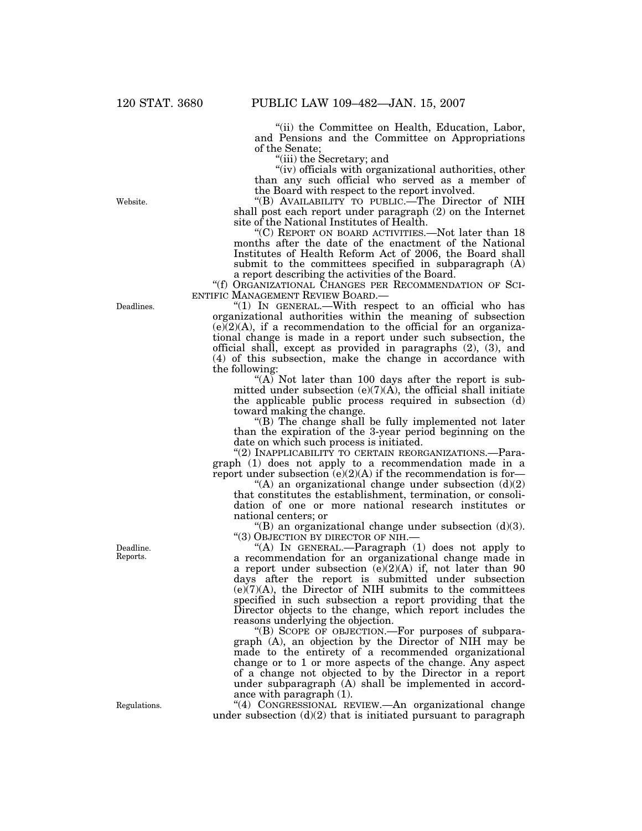''(ii) the Committee on Health, Education, Labor, and Pensions and the Committee on Appropriations of the Senate;

''(iii) the Secretary; and

"(iv) officials with organizational authorities, other than any such official who served as a member of the Board with respect to the report involved.

''(B) AVAILABILITY TO PUBLIC.—The Director of NIH shall post each report under paragraph (2) on the Internet site of the National Institutes of Health.

''(C) REPORT ON BOARD ACTIVITIES.—Not later than 18 months after the date of the enactment of the National Institutes of Health Reform Act of 2006, the Board shall submit to the committees specified in subparagraph (A) a report describing the activities of the Board.

''(f) ORGANIZATIONAL CHANGES PER RECOMMENDATION OF SCI-ENTIFIC MANAGEMENT REVIEW BOARD.—

" $(1)$  IN GENERAL.—With respect to an official who has organizational authorities within the meaning of subsection  $(e)(2)(A)$ , if a recommendation to the official for an organizational change is made in a report under such subsection, the official shall, except as provided in paragraphs (2), (3), and (4) of this subsection, make the change in accordance with the following:

"(A) Not later than 100 days after the report is submitted under subsection  $(e)(7)(A)$ , the official shall initiate the applicable public process required in subsection (d) toward making the change.

''(B) The change shall be fully implemented not later than the expiration of the 3-year period beginning on the date on which such process is initiated.

"(2) INAPPLICABILITY TO CERTAIN REORGANIZATIONS.—Paragraph (1) does not apply to a recommendation made in a report under subsection  $(e)(2)(A)$  if the recommendation is for-

"(A) an organizational change under subsection  $(d)(2)$ that constitutes the establishment, termination, or consolidation of one or more national research institutes or national centers; or

"(B) an organizational change under subsection  $(d)(3)$ . ''(3) OBJECTION BY DIRECTOR OF NIH.—

''(A) IN GENERAL.—Paragraph (1) does not apply to a recommendation for an organizational change made in a report under subsection  $(e)(2)(A)$  if, not later than 90 days after the report is submitted under subsection  $(e)(7)(A)$ , the Director of NIH submits to the committees specified in such subsection a report providing that the Director objects to the change, which report includes the reasons underlying the objection.

''(B) SCOPE OF OBJECTION.—For purposes of subparagraph (A), an objection by the Director of NIH may be made to the entirety of a recommended organizational change or to 1 or more aspects of the change. Any aspect of a change not objected to by the Director in a report under subparagraph (A) shall be implemented in accordance with paragraph (1).

''(4) CONGRESSIONAL REVIEW.—An organizational change under subsection  $(d)(2)$  that is initiated pursuant to paragraph

Deadlines.

Website.

Deadline. Reports.

Regulations.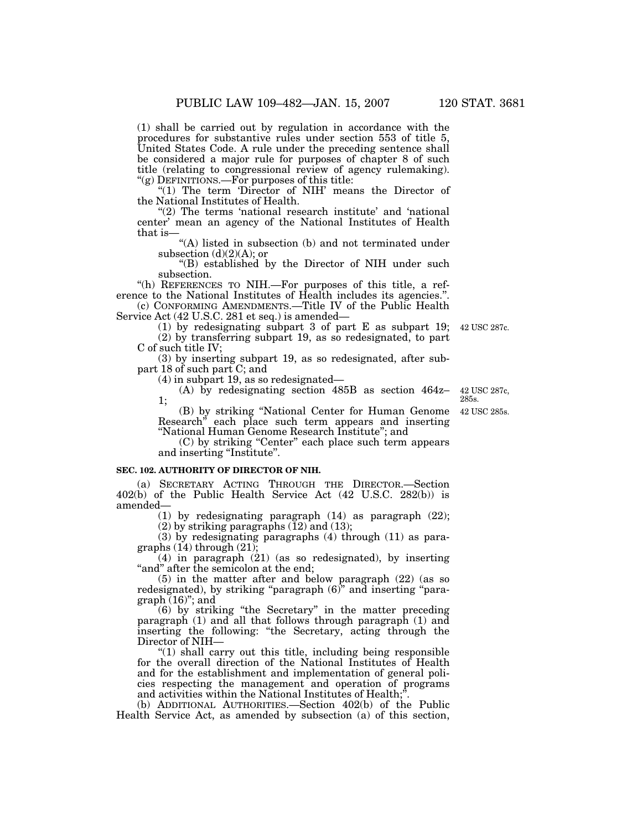(1) shall be carried out by regulation in accordance with the procedures for substantive rules under section 553 of title 5, United States Code. A rule under the preceding sentence shall be considered a major rule for purposes of chapter 8 of such title (relating to congressional review of agency rulemaking). " $(g)$  DEFINITIONS.—For purposes of this title:

"(1) The term 'Director of NIH' means the Director of the National Institutes of Health.

" $(2)$  The terms 'national research institute' and 'national center' mean an agency of the National Institutes of Health that is—

"(A) listed in subsection (b) and not terminated under subsection  $(d)(2)(A)$ ; or

''(B) established by the Director of NIH under such subsection.

''(h) REFERENCES TO NIH.—For purposes of this title, a reference to the National Institutes of Health includes its agencies.''.

(c) CONFORMING AMENDMENTS.—Title IV of the Public Health Service Act (42 U.S.C. 281 et seq.) is amended—

(1) by redesignating subpart 3 of part E as subpart 19; (2) by transferring subpart 19, as so redesignated, to part

C of such title IV; (3) by inserting subpart 19, as so redesignated, after subpart 18 of such part C; and

(4) in subpart 19, as so redesignated—

(A) by redesignating section 485B as section 464z– 1;

(B) by striking ''National Center for Human Genome Research'' each place such term appears and inserting ''National Human Genome Research Institute''; and 42 USC 285s.

(C) by striking ''Center'' each place such term appears and inserting "Institute".

#### **SEC. 102. AUTHORITY OF DIRECTOR OF NIH.**

(a) SECRETARY ACTING THROUGH THE DIRECTOR.—Section 402(b) of the Public Health Service Act (42 U.S.C. 282(b)) is amended—

(1) by redesignating paragraph (14) as paragraph (22); (2) by striking paragraphs  $(12)$  and  $(13)$ ;

(3) by redesignating paragraphs (4) through (11) as paragraphs  $(14)$  through  $(21)$ 

 $(4)$  in paragraph  $(21)$  (as so redesignated), by inserting "and" after the semicolon at the end;

(5) in the matter after and below paragraph (22) (as so redesignated), by striking "paragraph  $(6)$ " and inserting "para $graph (16)$ "; and

(6) by striking ''the Secretary'' in the matter preceding paragraph (1) and all that follows through paragraph (1) and inserting the following: ''the Secretary, acting through the Director of NIH—

"(1) shall carry out this title, including being responsible for the overall direction of the National Institutes of Health and for the establishment and implementation of general policies respecting the management and operation of programs and activities within the National Institutes of Health;''.

(b) ADDITIONAL AUTHORITIES.—Section 402(b) of the Public Health Service Act, as amended by subsection (a) of this section,

42 USC 287c, 285s.

42 USC 287c.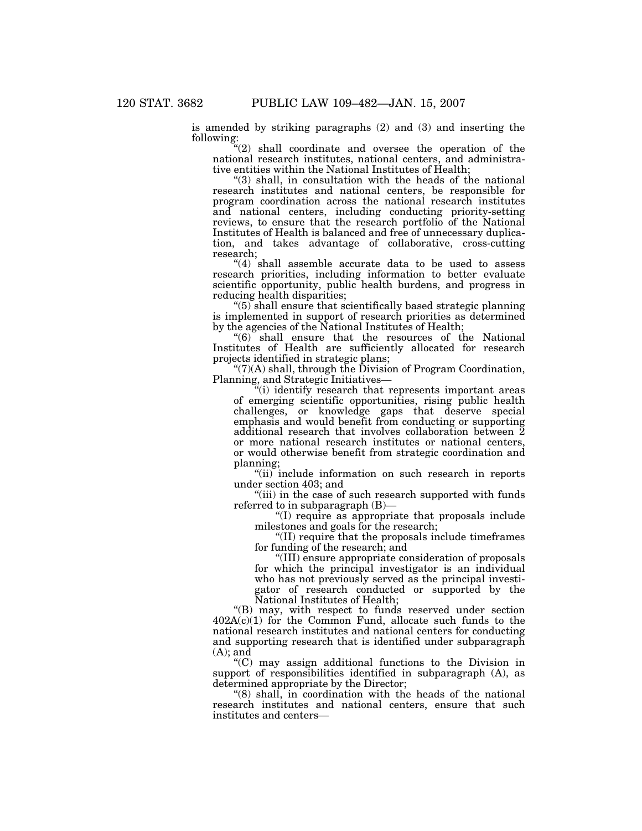is amended by striking paragraphs (2) and (3) and inserting the following:

"(2) shall coordinate and oversee the operation of the national research institutes, national centers, and administrative entities within the National Institutes of Health;

''(3) shall, in consultation with the heads of the national research institutes and national centers, be responsible for program coordination across the national research institutes and national centers, including conducting priority-setting reviews, to ensure that the research portfolio of the National Institutes of Health is balanced and free of unnecessary duplication, and takes advantage of collaborative, cross-cutting research;

" $(4)$  shall assemble accurate data to be used to assess research priorities, including information to better evaluate scientific opportunity, public health burdens, and progress in reducing health disparities;

 $"(5)$  shall ensure that scientifically based strategic planning is implemented in support of research priorities as determined by the agencies of the National Institutes of Health;

 $\degree$ (6) shall ensure that the resources of the National Institutes of Health are sufficiently allocated for research projects identified in strategic plans;

 $\degree$ (7)(A) shall, through the Division of Program Coordination, Planning, and Strategic Initiatives—

(i) identify research that represents important areas of emerging scientific opportunities, rising public health challenges, or knowledge gaps that deserve special emphasis and would benefit from conducting or supporting additional research that involves collaboration between 2 or more national research institutes or national centers, or would otherwise benefit from strategic coordination and planning;

"(ii) include information on such research in reports under section 403; and

"(iii) in the case of such research supported with funds referred to in subparagraph (B)—

''(I) require as appropriate that proposals include milestones and goals for the research;

''(II) require that the proposals include timeframes for funding of the research; and

''(III) ensure appropriate consideration of proposals for which the principal investigator is an individual who has not previously served as the principal investigator of research conducted or supported by the National Institutes of Health;

''(B) may, with respect to funds reserved under section 402A(c)(1) for the Common Fund, allocate such funds to the national research institutes and national centers for conducting and supporting research that is identified under subparagraph  $(A)$ ; and

''(C) may assign additional functions to the Division in support of responsibilities identified in subparagraph (A), as determined appropriate by the Director;

''(8) shall, in coordination with the heads of the national research institutes and national centers, ensure that such institutes and centers—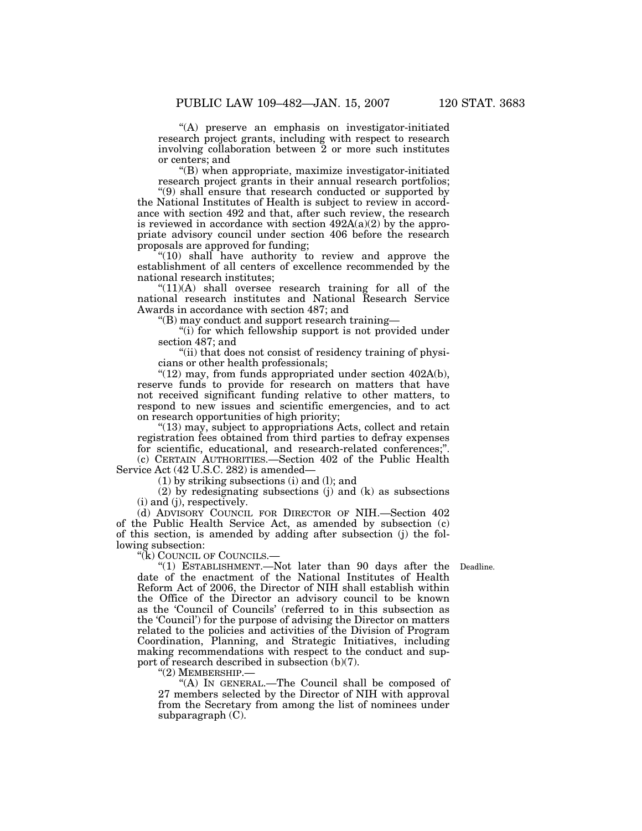''(A) preserve an emphasis on investigator-initiated research project grants, including with respect to research involving collaboration between 2 or more such institutes or centers; and

''(B) when appropriate, maximize investigator-initiated research project grants in their annual research portfolios;

''(9) shall ensure that research conducted or supported by the National Institutes of Health is subject to review in accordance with section 492 and that, after such review, the research is reviewed in accordance with section  $492A(a)(2)$  by the appropriate advisory council under section 406 before the research proposals are approved for funding;

"(10) shall have authority to review and approve the establishment of all centers of excellence recommended by the national research institutes;

 $''(11)(A)$  shall oversee research training for all of the national research institutes and National Research Service Awards in accordance with section 487; and

''(B) may conduct and support research training—

"(i) for which fellowship support is not provided under section 487; and

"(ii) that does not consist of residency training of physicians or other health professionals;

 $"$ (12) may, from funds appropriated under section 402A(b), reserve funds to provide for research on matters that have not received significant funding relative to other matters, to respond to new issues and scientific emergencies, and to act on research opportunities of high priority;

"(13) may, subject to appropriations Acts, collect and retain registration fees obtained from third parties to defray expenses for scientific, educational, and research-related conferences;''.

(c) CERTAIN AUTHORITIES.—Section 402 of the Public Health Service Act (42 U.S.C. 282) is amended—

(1) by striking subsections (i) and (l); and

(2) by redesignating subsections (j) and (k) as subsections (i) and (j), respectively.

(d) ADVISORY COUNCIL FOR DIRECTOR OF NIH.—Section 402 of the Public Health Service Act, as amended by subsection (c) of this section, is amended by adding after subsection (j) the following subsection:

''(k) COUNCIL OF COUNCILS.—

"(1) ESTABLISHMENT.—Not later than 90 days after the Deadline. date of the enactment of the National Institutes of Health Reform Act of 2006, the Director of NIH shall establish within the Office of the Director an advisory council to be known as the 'Council of Councils' (referred to in this subsection as the 'Council') for the purpose of advising the Director on matters related to the policies and activities of the Division of Program Coordination, Planning, and Strategic Initiatives, including making recommendations with respect to the conduct and support of research described in subsection (b)(7).

"(2) MEMBERSHIP.-

''(A) IN GENERAL.—The Council shall be composed of 27 members selected by the Director of NIH with approval from the Secretary from among the list of nominees under subparagraph  $(C)$ .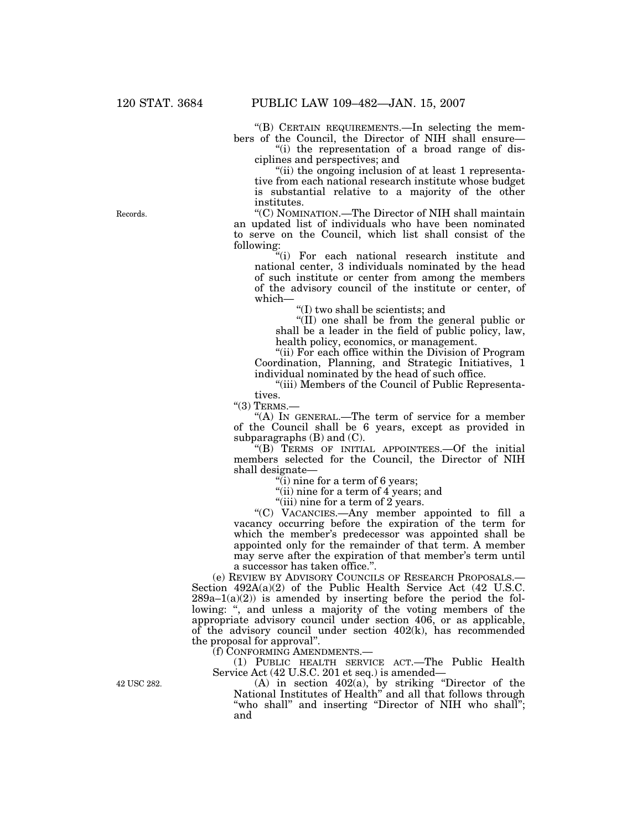''(B) CERTAIN REQUIREMENTS.—In selecting the members of the Council, the Director of NIH shall ensure—

''(i) the representation of a broad range of disciplines and perspectives; and

"(ii) the ongoing inclusion of at least 1 representative from each national research institute whose budget is substantial relative to a majority of the other institutes.

''(C) NOMINATION.—The Director of NIH shall maintain an updated list of individuals who have been nominated to serve on the Council, which list shall consist of the following:

''(i) For each national research institute and national center, 3 individuals nominated by the head of such institute or center from among the members of the advisory council of the institute or center, of which—

''(I) two shall be scientists; and

''(II) one shall be from the general public or shall be a leader in the field of public policy, law, health policy, economics, or management.

"(ii) For each office within the Division of Program Coordination, Planning, and Strategic Initiatives, 1 individual nominated by the head of such office.

''(iii) Members of the Council of Public Representatives.

 $"(3)$  TERMS.-

''(A) IN GENERAL.—The term of service for a member of the Council shall be 6 years, except as provided in subparagraphs (B) and (C).

''(B) TERMS OF INITIAL APPOINTEES.—Of the initial members selected for the Council, the Director of NIH shall designate—

"(i) nine for a term of 6 years;

"(ii) nine for a term of 4 years; and

"(iii) nine for a term of 2 years.

''(C) VACANCIES.—Any member appointed to fill a vacancy occurring before the expiration of the term for which the member's predecessor was appointed shall be appointed only for the remainder of that term. A member may serve after the expiration of that member's term until a successor has taken office.''.

(e) REVIEW BY ADVISORY COUNCILS OF RESEARCH PROPOSALS.— Section 492A(a)(2) of the Public Health Service Act (42 U.S.C.  $289a-1(a)(2)$  is amended by inserting before the period the following: ", and unless a majority of the voting members of the appropriate advisory council under section 406, or as applicable, of the advisory council under section 402(k), has recommended the proposal for approval''.

(f) CONFORMING AMENDMENTS.—

(1) PUBLIC HEALTH SERVICE ACT.—The Public Health Service Act (42 U.S.C. 201 et seq.) is amended—

42 USC 282.

(A) in section 402(a), by striking ''Director of the National Institutes of Health'' and all that follows through "who shall" and inserting "Director of NIH who shall"; and

Records.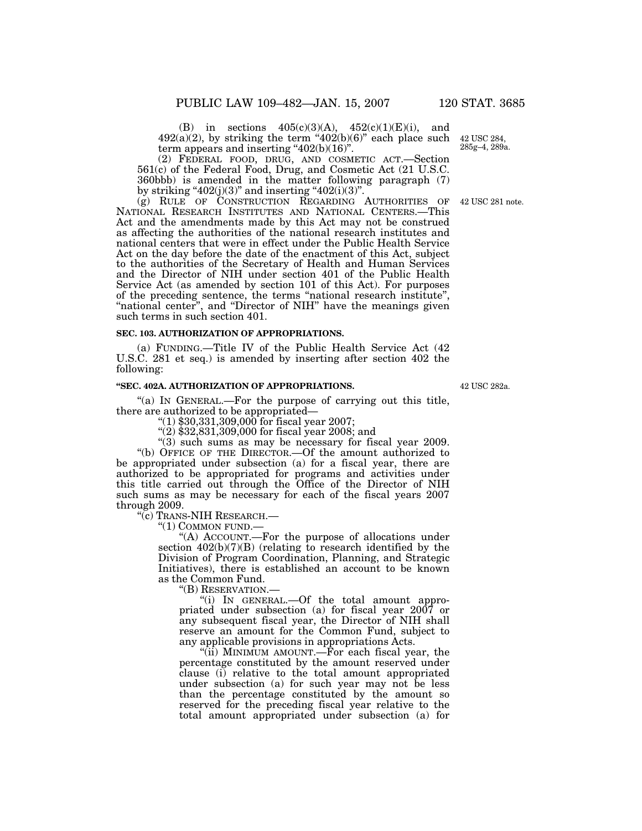(B) in sections  $405(c)(3)(A)$ ,  $452(c)(1)(E)(i)$ , and  $492(a)(2)$ , by striking the term " $402(b)(6)$ " each place such term appears and inserting " $402(b)(16)$ ".

(2) FEDERAL FOOD, DRUG, AND COSMETIC ACT.—Section 561(c) of the Federal Food, Drug, and Cosmetic Act (21 U.S.C. 360bbb) is amended in the matter following paragraph (7) by striking " $402(j)(3)$ " and inserting " $402(i)(3)$ ".

(g) RULE OF CONSTRUCTION REGARDING AUTHORITIES OF NATIONAL RESEARCH INSTITUTES AND NATIONAL CENTERS.—This Act and the amendments made by this Act may not be construed as affecting the authorities of the national research institutes and national centers that were in effect under the Public Health Service Act on the day before the date of the enactment of this Act, subject to the authorities of the Secretary of Health and Human Services and the Director of NIH under section 401 of the Public Health Service Act (as amended by section 101 of this Act). For purposes of the preceding sentence, the terms ''national research institute'', "national center", and "Director of NIH" have the meanings given such terms in such section 401.

## **SEC. 103. AUTHORIZATION OF APPROPRIATIONS.**

(a) FUNDING.—Title IV of the Public Health Service Act (42 U.S.C. 281 et seq.) is amended by inserting after section 402 the following:

# **''SEC. 402A. AUTHORIZATION OF APPROPRIATIONS.**

"(a) IN GENERAL.—For the purpose of carrying out this title, there are authorized to be appropriated—

 $''(1)$  \$30,331,309,000 for fiscal year 2007;

 $(2)$ \$32,831,309,000 for fiscal year 2008; and

"(3) such sums as may be necessary for fiscal year 2009.

''(b) OFFICE OF THE DIRECTOR.—Of the amount authorized to be appropriated under subsection (a) for a fiscal year, there are authorized to be appropriated for programs and activities under this title carried out through the Office of the Director of NIH such sums as may be necessary for each of the fiscal years 2007 through 2009.

''(c) TRANS-NIH RESEARCH.—

''(1) COMMON FUND.—

'(A) ACCOUNT.—For the purpose of allocations under section  $402(b)(7)(B)$  (relating to research identified by the Division of Program Coordination, Planning, and Strategic Initiatives), there is established an account to be known as the Common Fund.

''(B) RESERVATION.—

"(i) In GENERAL.—Of the total amount appropriated under subsection (a) for fiscal year 2007 or any subsequent fiscal year, the Director of NIH shall reserve an amount for the Common Fund, subject to any applicable provisions in appropriations Acts.

"(ii) MINIMUM AMOUNT.—For each fiscal year, the percentage constituted by the amount reserved under clause (i) relative to the total amount appropriated under subsection (a) for such year may not be less than the percentage constituted by the amount so reserved for the preceding fiscal year relative to the total amount appropriated under subsection (a) for

42 USC 282a.

42 USC 284, 285g–4, 289a.

42 USC 281 note.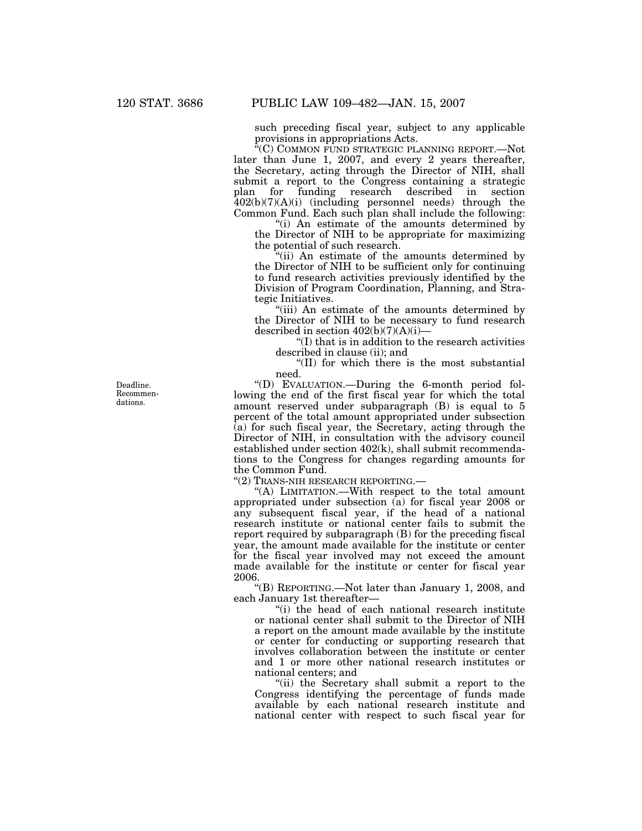such preceding fiscal year, subject to any applicable provisions in appropriations Acts.

''(C) COMMON FUND STRATEGIC PLANNING REPORT.—Not later than June 1, 2007, and every 2 years thereafter, the Secretary, acting through the Director of NIH, shall submit a report to the Congress containing a strategic plan for funding research described in section 402(b)(7)(A)(i) (including personnel needs) through the Common Fund. Each such plan shall include the following:

''(i) An estimate of the amounts determined by the Director of NIH to be appropriate for maximizing the potential of such research.

''(ii) An estimate of the amounts determined by the Director of NIH to be sufficient only for continuing to fund research activities previously identified by the Division of Program Coordination, Planning, and Strategic Initiatives.

"(iii) An estimate of the amounts determined by the Director of NIH to be necessary to fund research described in section  $402(b)(7)(A)(i)$ 

''(I) that is in addition to the research activities described in clause (ii); and

''(II) for which there is the most substantial need.

''(D) EVALUATION.—During the 6-month period following the end of the first fiscal year for which the total amount reserved under subparagraph (B) is equal to 5 percent of the total amount appropriated under subsection (a) for such fiscal year, the Secretary, acting through the Director of NIH, in consultation with the advisory council established under section 402(k), shall submit recommendations to the Congress for changes regarding amounts for the Common Fund.

''(2) TRANS-NIH RESEARCH REPORTING.—

''(A) LIMITATION.—With respect to the total amount appropriated under subsection (a) for fiscal year 2008 or any subsequent fiscal year, if the head of a national research institute or national center fails to submit the report required by subparagraph (B) for the preceding fiscal year, the amount made available for the institute or center for the fiscal year involved may not exceed the amount made available for the institute or center for fiscal year 2006.

''(B) REPORTING.—Not later than January 1, 2008, and each January 1st thereafter—

''(i) the head of each national research institute or national center shall submit to the Director of NIH a report on the amount made available by the institute or center for conducting or supporting research that involves collaboration between the institute or center and 1 or more other national research institutes or national centers; and

''(ii) the Secretary shall submit a report to the Congress identifying the percentage of funds made available by each national research institute and national center with respect to such fiscal year for

Deadline. Recommendations.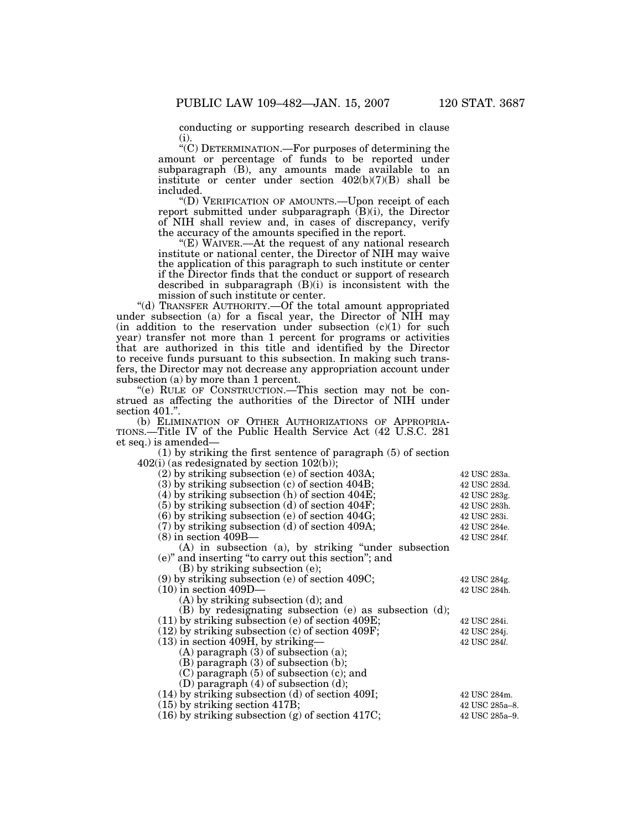conducting or supporting research described in clause (i).

''(C) DETERMINATION.—For purposes of determining the amount or percentage of funds to be reported under subparagraph (B), any amounts made available to an institute or center under section 402(b)(7)(B) shall be included.

''(D) VERIFICATION OF AMOUNTS.—Upon receipt of each report submitted under subparagraph (B)(i), the Director of NIH shall review and, in cases of discrepancy, verify the accuracy of the amounts specified in the report.

"(E) WAIVER.—At the request of any national research institute or national center, the Director of NIH may waive the application of this paragraph to such institute or center if the Director finds that the conduct or support of research described in subparagraph (B)(i) is inconsistent with the mission of such institute or center.

''(d) TRANSFER AUTHORITY.—Of the total amount appropriated under subsection (a) for a fiscal year, the Director of NIH may (in addition to the reservation under subsection  $(c)(1)$  for such year) transfer not more than 1 percent for programs or activities that are authorized in this title and identified by the Director to receive funds pursuant to this subsection. In making such transfers, the Director may not decrease any appropriation account under subsection (a) by more than 1 percent.

''(e) RULE OF CONSTRUCTION.—This section may not be construed as affecting the authorities of the Director of NIH under section 401.".

(b) ELIMINATION OF OTHER AUTHORIZATIONS OF APPROPRIA-TIONS.—Title IV of the Public Health Service Act (42 U.S.C. 281 et seq.) is amended—

(1) by striking the first sentence of paragraph (5) of section  $402(i)$  (as redesignated by section  $102(b)$ );

| $(2)$ by striking subsection (e) of section 403A;         | 42 USC 283a.          |
|-----------------------------------------------------------|-----------------------|
| $(3)$ by striking subsection $(c)$ of section 404B;       | 42 USC 283d.          |
| $(4)$ by striking subsection (h) of section $404E$ ;      | 42 USC 283g.          |
| $(5)$ by striking subsection (d) of section 404F;         | 42 USC 283h.          |
| $(6)$ by striking subsection (e) of section 404G;         | 42 USC 283i.          |
| $(7)$ by striking subsection (d) of section 409A;         | 42 USC 284e.          |
| $(8)$ in section $409B-$                                  | 42 USC 284f.          |
| $(A)$ in subsection $(a)$ , by striking "under subsection |                       |
| $(e)$ " and inserting "to carry out this section"; and    |                       |
| $(B)$ by striking subsection (e);                         |                       |
| $(9)$ by striking subsection (e) of section 409C;         | 42 USC 284g.          |
| $(10)$ in section $409D-$                                 | 42 USC 284h.          |
| $(A)$ by striking subsection $(d)$ ; and                  |                       |
| $(B)$ by redesignating subsection (e) as subsection (d);  |                       |
| $(11)$ by striking subsection (e) of section 409E;        | 42 USC 284i.          |
| $(12)$ by striking subsection (c) of section 409F;        | 42 USC 284j.          |
| $(13)$ in section 409H, by striking—                      | 42 USC 284 <i>l</i> . |
| $(A)$ paragraph $(3)$ of subsection $(a)$ ;               |                       |
| $(B)$ paragraph $(3)$ of subsection $(b)$ ;               |                       |
| $(C)$ paragraph $(5)$ of subsection $(c)$ ; and           |                       |
| (D) paragraph $(4)$ of subsection $(d)$ ;                 |                       |
| $(14)$ by striking subsection (d) of section 409I;        | 42 USC 284m.          |
| $(15)$ by striking section 417B;                          | 42 USC 285a-8.        |
| $(16)$ by striking subsection (g) of section 417C;        | 42 USC 285a-9.        |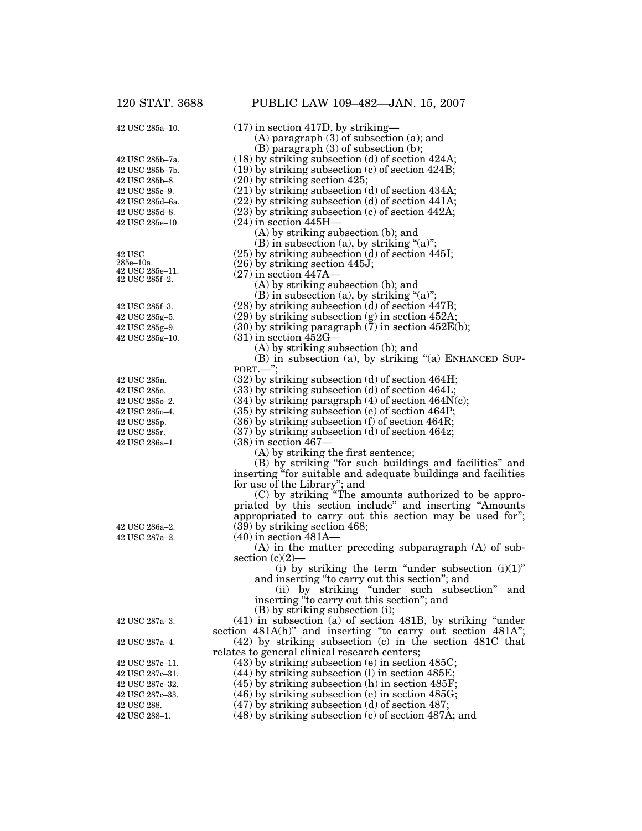42 USC 285a–10.

| PUBLIC LAW 109-482-JAN. 15, 2007                                                                                             |
|------------------------------------------------------------------------------------------------------------------------------|
| $(17)$ in section 417D, by striking-                                                                                         |
| $(A)$ paragraph $(3)$ of subsection $(a)$ ; and                                                                              |
| $(B)$ paragraph $(3)$ of subsection $(b)$ ;                                                                                  |
| $(18)$ by striking subsection (d) of section 424A;                                                                           |
| $(19)$ by striking subsection $(c)$ of section 424B;                                                                         |
| $(20)$ by striking section 425;                                                                                              |
| $(21)$ by striking subsection (d) of section 434A;                                                                           |
| $(22)$ by striking subsection (d) of section 441A;<br>$(23)$ by striking subsection $(c)$ of section 442A;                   |
| $(24)$ in section $445H-$                                                                                                    |
| $(A)$ by striking subsection $(b)$ ; and                                                                                     |
| (B) in subsection (a), by striking " $(a)$ ";                                                                                |
| (25) by striking subsection (d) of section 445I;                                                                             |
| $(26)$ by striking section 445J;                                                                                             |
| $(27)$ in section 447A–                                                                                                      |
| $(A)$ by striking subsection $(b)$ ; and                                                                                     |
| $(B)$ in subsection (a), by striking "(a)";                                                                                  |
| $(28)$ by striking subsection (d) of section 447B;                                                                           |
| $(29)$ by striking subsection $(g)$ in section 452A;                                                                         |
| $(30)$ by striking paragraph $(7)$ in section $452E(b)$ ;<br>$(31)$ in section $452G-$                                       |
| $(A)$ by striking subsection $(b)$ ; and                                                                                     |
| (B) in subsection (a), by striking "(a) ENHANCED SUP-                                                                        |
| $PORT.$ ":                                                                                                                   |
| $(32)$ by striking subsection (d) of section 464H;                                                                           |
| $(33)$ by striking subsection (d) of section 464L;                                                                           |
| $(34)$ by striking paragraph $(4)$ of section $464N(c)$ ;                                                                    |
| $(35)$ by striking subsection (e) of section 464P;                                                                           |
| $(36)$ by striking subsection (f) of section 464R;                                                                           |
| $(37)$ by striking subsection (d) of section 464z;                                                                           |
| $(38)$ in section 467–<br>(A) by striking the first sentence;                                                                |
| (B) by striking "for such buildings and facilities" and                                                                      |
| inserting "for suitable and adequate buildings and facilities                                                                |
| for use of the Library"; and                                                                                                 |
| (C) by striking "The amounts authorized to be appro-                                                                         |
| priated by this section include" and inserting "Amounts                                                                      |
| appropriated to carry out this section may be used for";                                                                     |
| $(39)$ by striking section 468;                                                                                              |
| $(40)$ in section $481A-$                                                                                                    |
| $(A)$ in the matter preceding subparagraph $(A)$ of sub-                                                                     |
| section $(c)(2)$ —<br>(i) by striking the term "under subsection $(i)(1)$ "                                                  |
| and inserting "to carry out this section"; and                                                                               |
| (ii) by striking "under such subsection" and                                                                                 |
| inserting "to carry out this section"; and                                                                                   |
| $(B)$ by striking subsection (i);                                                                                            |
| (41) in subsection (a) of section 481B, by striking "under section $481A(h)$ " and inserting "to carry out section $481A$ "; |
|                                                                                                                              |
| $(42)$ by striking subsection (c) in the section $481C$ that<br>relates to general clinical research centers;                |
| $(43)$ by striking subsection (e) in section $485C$ ;                                                                        |
| $(44)$ by striking subsection (1) in section $485E$ ;                                                                        |
| $(45)$ by striking subsection (h) in section $485F$ ;                                                                        |
| $(46)$ by striking subsection (e) in section $485G$ ;                                                                        |
| $(47)$ by striking subsection (d) of section 487;                                                                            |

42 USC 288. 42 USC 288–1.

42 USC 287c–11. 42 USC 287c–31. 42 USC 287c–32. 42 USC 287c–33.

42 USC 287a–4.

42 USC 287a–3.

42 USC 287a–2. 42 USC 286a–2.

42 USC 285n. 42 USC 285o. 42 USC 285o–2. 42 USC 285o–4. 42 USC 285p. 42 USC 285r. 42 USC 286a–1.

42 USC 285f–3. 42 USC 285g–5. 42 USC 285g–9. 42 USC 285g–10.

42 USC 285e–10. 42 USC 285d–8. 42 USC 285d–6a. 42 USC 285c–9. 42 USC 285b–8. 42 USC 285b–7b. 42 USC 285b–7a.

42 USC 285e–10a. 42 USC 285e–11. 42 USC 285f–2.

(48) by striking subsection (c) of section 487A; and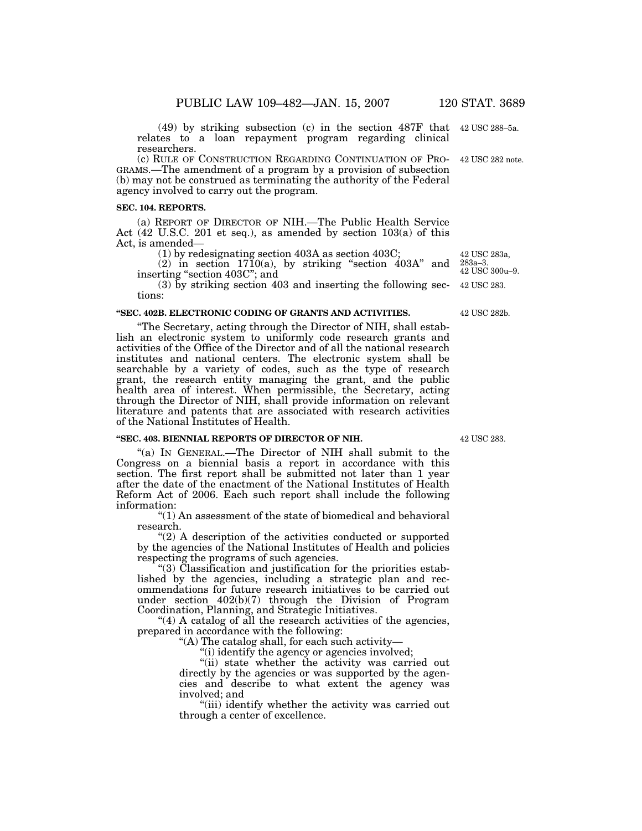(49) by striking subsection (c) in the section 487F that 42 USC 288–5a. relates to a loan repayment program regarding clinical researchers.

GRAMS.—The amendment of a program by a provision of subsection (b) may not be construed as terminating the authority of the Federal agency involved to carry out the program. (c) RULE OF CONSTRUCTION REGARDING CONTINUATION OF PRO- 42 USC 282 note.

## **SEC. 104. REPORTS.**

(a) REPORT OF DIRECTOR OF NIH.—The Public Health Service Act (42 U.S.C. 201 et seq.), as amended by section 103(a) of this Act, is amended—

(1) by redesignating section 403A as section 403C;

(2) in section  $1710(a)$ , by striking "section  $403A$ " and inserting ''section 403C''; and

(3) by striking section 403 and inserting the following sections:

#### **''SEC. 402B. ELECTRONIC CODING OF GRANTS AND ACTIVITIES.**

''The Secretary, acting through the Director of NIH, shall establish an electronic system to uniformly code research grants and activities of the Office of the Director and of all the national research institutes and national centers. The electronic system shall be searchable by a variety of codes, such as the type of research grant, the research entity managing the grant, and the public health area of interest. When permissible, the Secretary, acting through the Director of NIH, shall provide information on relevant literature and patents that are associated with research activities of the National Institutes of Health.

#### **''SEC. 403. BIENNIAL REPORTS OF DIRECTOR OF NIH.**

''(a) IN GENERAL.—The Director of NIH shall submit to the Congress on a biennial basis a report in accordance with this section. The first report shall be submitted not later than 1 year after the date of the enactment of the National Institutes of Health Reform Act of 2006. Each such report shall include the following information:

''(1) An assessment of the state of biomedical and behavioral research.

"(2) A description of the activities conducted or supported by the agencies of the National Institutes of Health and policies respecting the programs of such agencies.

''(3) Classification and justification for the priorities established by the agencies, including a strategic plan and recommendations for future research initiatives to be carried out under section 402(b)(7) through the Division of Program Coordination, Planning, and Strategic Initiatives.

"(4) A catalog of all the research activities of the agencies, prepared in accordance with the following:

''(A) The catalog shall, for each such activity—

"(i) identify the agency or agencies involved;

"(ii) state whether the activity was carried out directly by the agencies or was supported by the agencies and describe to what extent the agency was involved; and

''(iii) identify whether the activity was carried out through a center of excellence.

42 USC 283.

42 USC 283. 42 USC 283a, 283a–3. 42 USC 300u–9.

42 USC 282b.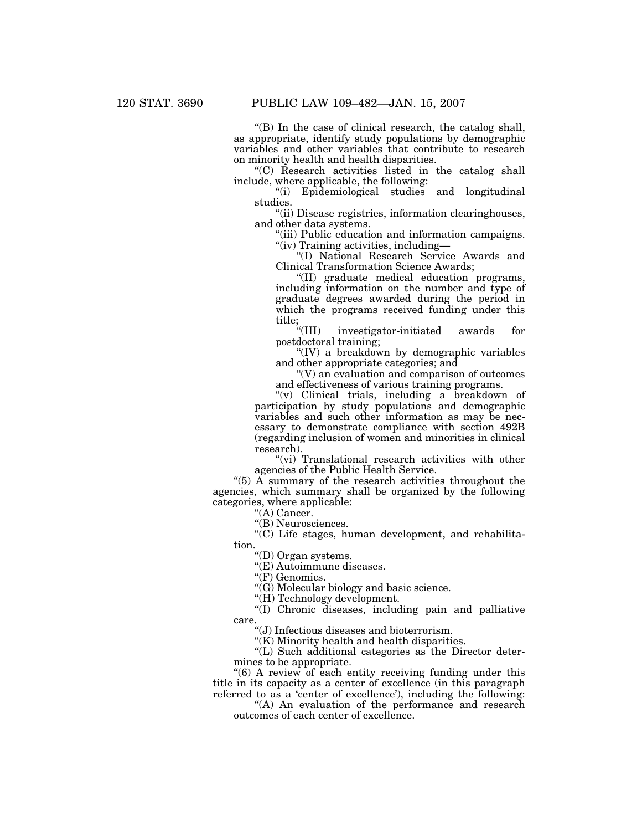''(B) In the case of clinical research, the catalog shall, as appropriate, identify study populations by demographic variables and other variables that contribute to research on minority health and health disparities.

''(C) Research activities listed in the catalog shall include, where applicable, the following:

''(i) Epidemiological studies and longitudinal studies.

''(ii) Disease registries, information clearinghouses, and other data systems.

''(iii) Public education and information campaigns. ''(iv) Training activities, including—

''(I) National Research Service Awards and Clinical Transformation Science Awards;

''(II) graduate medical education programs, including information on the number and type of graduate degrees awarded during the period in which the programs received funding under this title;<br>"(III)

investigator-initiated awards for postdoctoral training;

" $(IV)$  a breakdown by demographic variables and other appropriate categories; and

 $\sqrt{\rm v}$  an evaluation and comparison of outcomes and effectiveness of various training programs.

''(v) Clinical trials, including a breakdown of participation by study populations and demographic variables and such other information as may be necessary to demonstrate compliance with section 492B (regarding inclusion of women and minorities in clinical research).

"(vi) Translational research activities with other agencies of the Public Health Service.

"(5)  $\tilde{A}$  summary of the research activities throughout the agencies, which summary shall be organized by the following categories, where applicable:

"(A) Cancer.

''(B) Neurosciences.

''(C) Life stages, human development, and rehabilitation.

''(D) Organ systems.

''(E) Autoimmune diseases.

"(F) Genomics.

 $\mathcal{C}(G)$  Molecular biology and basic science.

"(H) Technology development.

"(I) Chronic diseases, including pain and palliative care.

''(J) Infectious diseases and bioterrorism.

 $\sqrt{\text{K}}$ ) Minority health and health disparities.

''(L) Such additional categories as the Director determines to be appropriate.

''(6) A review of each entity receiving funding under this title in its capacity as a center of excellence (in this paragraph referred to as a 'center of excellence'), including the following:

"(A) An evaluation of the performance and research outcomes of each center of excellence.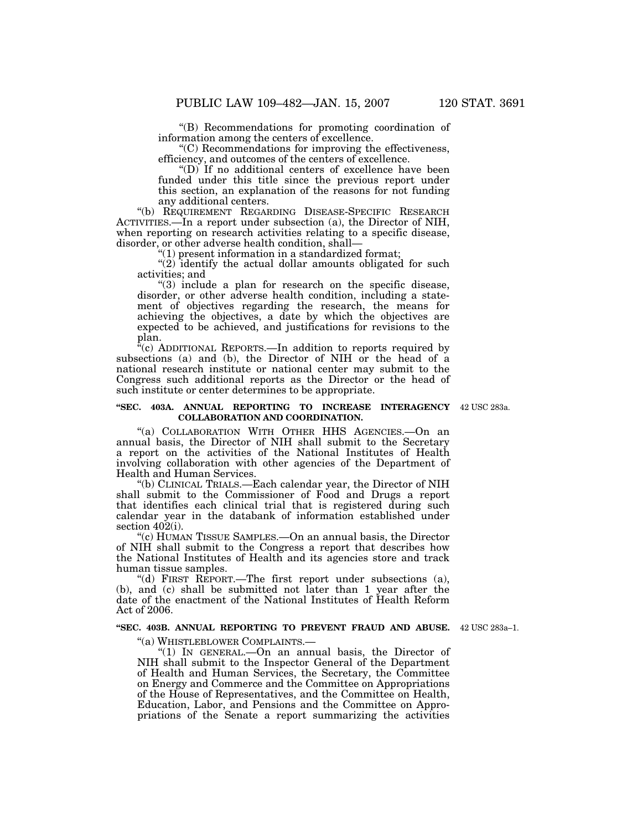''(B) Recommendations for promoting coordination of information among the centers of excellence.

''(C) Recommendations for improving the effectiveness, efficiency, and outcomes of the centers of excellence.

"(D) If no additional centers of excellence have been funded under this title since the previous report under this section, an explanation of the reasons for not funding any additional centers.

''(b) REQUIREMENT REGARDING DISEASE-SPECIFIC RESEARCH ACTIVITIES.—In a report under subsection (a), the Director of NIH, when reporting on research activities relating to a specific disease, disorder, or other adverse health condition, shall—

 $''(1)$  present information in a standardized format;

" $(2)$  identify the actual dollar amounts obligated for such activities; and

 $(3)$  include a plan for research on the specific disease, disorder, or other adverse health condition, including a statement of objectives regarding the research, the means for achieving the objectives, a date by which the objectives are expected to be achieved, and justifications for revisions to the plan.

 $\rm^{\alpha}(c)$  ADDITIONAL REPORTS.—In addition to reports required by subsections (a) and (b), the Director of NIH or the head of a national research institute or national center may submit to the Congress such additional reports as the Director or the head of such institute or center determines to be appropriate.

#### **''SEC. 403A. ANNUAL REPORTING TO INCREASE INTERAGENCY** 42 USC 283a. **COLLABORATION AND COORDINATION.**

''(a) COLLABORATION WITH OTHER HHS AGENCIES.—On an annual basis, the Director of NIH shall submit to the Secretary a report on the activities of the National Institutes of Health involving collaboration with other agencies of the Department of Health and Human Services.

''(b) CLINICAL TRIALS.—Each calendar year, the Director of NIH shall submit to the Commissioner of Food and Drugs a report that identifies each clinical trial that is registered during such calendar year in the databank of information established under section  $40\overline{2}$ (i).

''(c) HUMAN TISSUE SAMPLES.—On an annual basis, the Director of NIH shall submit to the Congress a report that describes how the National Institutes of Health and its agencies store and track human tissue samples.

''(d) FIRST REPORT.—The first report under subsections (a), (b), and (c) shall be submitted not later than 1 year after the date of the enactment of the National Institutes of Health Reform Act of 2006.

#### **''SEC. 403B. ANNUAL REPORTING TO PREVENT FRAUD AND ABUSE.** 42 USC 283a–1.

''(a) WHISTLEBLOWER COMPLAINTS.—

''(1) IN GENERAL.—On an annual basis, the Director of NIH shall submit to the Inspector General of the Department of Health and Human Services, the Secretary, the Committee on Energy and Commerce and the Committee on Appropriations of the House of Representatives, and the Committee on Health, Education, Labor, and Pensions and the Committee on Appropriations of the Senate a report summarizing the activities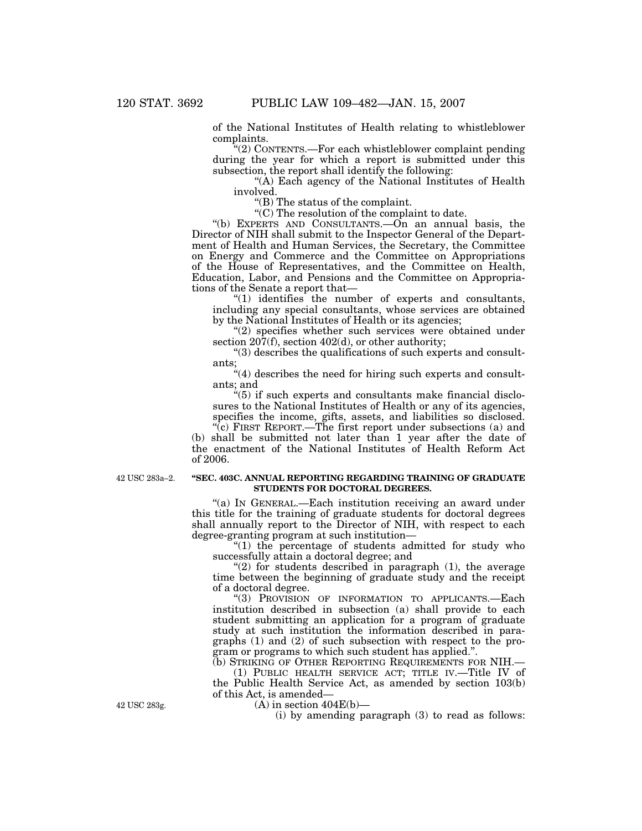of the National Institutes of Health relating to whistleblower complaints.

''(2) CONTENTS.—For each whistleblower complaint pending during the year for which a report is submitted under this subsection, the report shall identify the following:

''(A) Each agency of the National Institutes of Health involved.

''(B) The status of the complaint.

 $\mathcal{C}(C)$  The resolution of the complaint to date.

''(b) EXPERTS AND CONSULTANTS.—On an annual basis, the Director of NIH shall submit to the Inspector General of the Department of Health and Human Services, the Secretary, the Committee on Energy and Commerce and the Committee on Appropriations of the House of Representatives, and the Committee on Health, Education, Labor, and Pensions and the Committee on Appropriations of the Senate a report that—

 $*(1)$  identifies the number of experts and consultants, including any special consultants, whose services are obtained by the National Institutes of Health or its agencies;

"(2) specifies whether such services were obtained under section  $207(f)$ , section  $402(d)$ , or other authority;

 $''(3)$  describes the qualifications of such experts and consultants;

"(4) describes the need for hiring such experts and consultants; and

''(5) if such experts and consultants make financial disclosures to the National Institutes of Health or any of its agencies, specifies the income, gifts, assets, and liabilities so disclosed.

"(c) FIRST REPORT.—The first report under subsections (a) and (b) shall be submitted not later than 1 year after the date of the enactment of the National Institutes of Health Reform Act of 2006.

42 USC 283a–2.

# **''SEC. 403C. ANNUAL REPORTING REGARDING TRAINING OF GRADUATE STUDENTS FOR DOCTORAL DEGREES.**

''(a) IN GENERAL.—Each institution receiving an award under this title for the training of graduate students for doctoral degrees shall annually report to the Director of NIH, with respect to each degree-granting program at such institution—

 $''(1)$  the percentage of students admitted for study who successfully attain a doctoral degree; and

"(2) for students described in paragraph  $(1)$ , the average time between the beginning of graduate study and the receipt of a doctoral degree.

''(3) PROVISION OF INFORMATION TO APPLICANTS.—Each institution described in subsection (a) shall provide to each student submitting an application for a program of graduate study at such institution the information described in paragraphs (1) and (2) of such subsection with respect to the program or programs to which such student has applied.''.

(b) STRIKING OF OTHER REPORTING REQUIREMENTS FOR NIH.— (1) PUBLIC HEALTH SERVICE ACT; TITLE IV.—Title IV of the Public Health Service Act, as amended by section 103(b) of this Act, is amended—

 $(A)$  in section  $404E(b)$ —

(i) by amending paragraph (3) to read as follows:

42 USC 283g.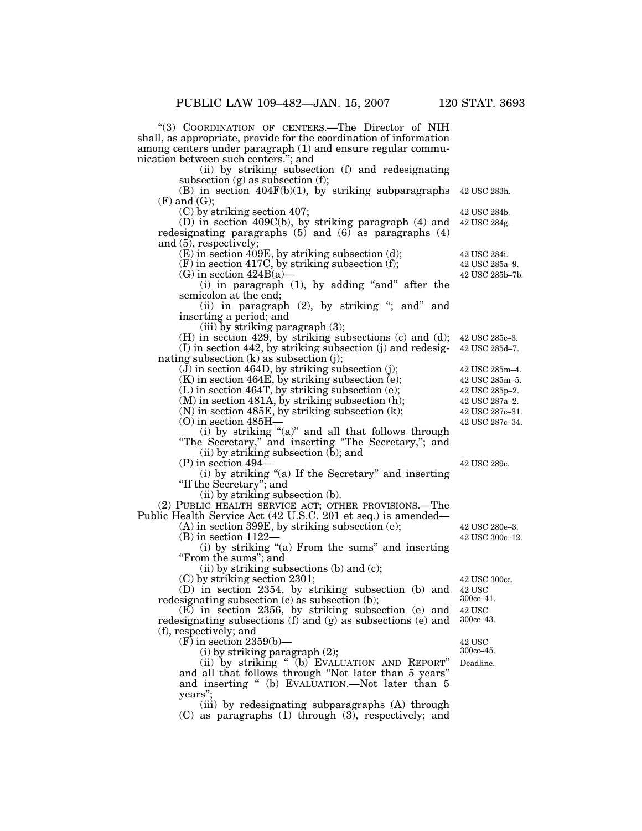''(3) COORDINATION OF CENTERS.—The Director of NIH shall, as appropriate, provide for the coordination of information among centers under paragraph (1) and ensure regular communication between such centers.''; and

(ii) by striking subsection (f) and redesignating subsection  $(g)$  as subsection  $(f)$ ;

(B) in section  $404F(b)(1)$ , by striking subparagraphs (F) and (G); 42 USC 283h.

(C) by striking section 407;

(D) in section 409C(b), by striking paragraph (4) and redesignating paragraphs  $(5)$  and  $(6)$  as paragraphs  $(4)$ and (5), respectively; 42 USC 284g.

(E) in section 409E, by striking subsection (d);

(F) in section 417C, by striking subsection (f);

 $(G)$  in section  $424B(a)$ 

(i) in paragraph  $(1)$ , by adding "and" after the semicolon at the end;

(ii) in paragraph (2), by striking "; and" and inserting a period; and

(iii) by striking paragraph (3);

(H) in section 429, by striking subsections (c) and (d); 42 USC 285c–3. (I) in section 442, by striking subsection (j) and redesignating subsection (k) as subsection (j);

 $(\tilde{J})$  in section 464D, by striking subsection (j);

 $(K)$  in section 464E, by striking subsection  $(e)$ ;

(L) in section 464T, by striking subsection (e);

(M) in section 481A, by striking subsection (h);

(N) in section 485E, by striking subsection (k);

(O) in section 485H—

(i) by striking "(a)" and all that follows through ''The Secretary,'' and inserting ''The Secretary,''; and

(ii) by striking subsection (b); and

(P) in section 494—

(i) by striking ''(a) If the Secretary'' and inserting "If the Secretary"; and

(ii) by striking subsection (b).

(2) PUBLIC HEALTH SERVICE ACT; OTHER PROVISIONS.—The Public Health Service Act (42 U.S.C. 201 et seq.) is amended—

(A) in section 399E, by striking subsection (e);

(B) in section 1122—

(i) by striking ''(a) From the sums'' and inserting ''From the sums''; and

(ii) by striking subsections (b) and (c);

(C) by striking section 2301;

(D) in section 2354, by striking subsection (b) and redesignating subsection (c) as subsection (b);

(E) in section 2356, by striking subsection (e) and redesignating subsections (f) and (g) as subsections (e) and (f), respectively; and

 $(F)$  in section 2359(b)—

(i) by striking paragraph (2);

(ii) by striking '' (b) EVALUATION AND REPORT'' and all that follows through ''Not later than 5 years'' and inserting '' (b) EVALUATION.—Not later than 5 years'';

(iii) by redesignating subparagraphs (A) through (C) as paragraphs (1) through (3), respectively; and

42 USC 289c.

42 USC 300c–12. 42 USC 280e–3.

42 USC 42 USC 300cc.

300cc–41.

42 USC 300cc–43.

42 USC 300cc–45.

Deadline.

42 USC 285a–9. 42 USC 284i.

42 USC 284b.

42 USC 285b–7b.

42 USC 285m–4. 42 USC 285d–7.

42 USC 285p–2. 42 USC 285m–5.

42 USC 287c–31. 42 USC 287a–2.

42 USC 287c–34.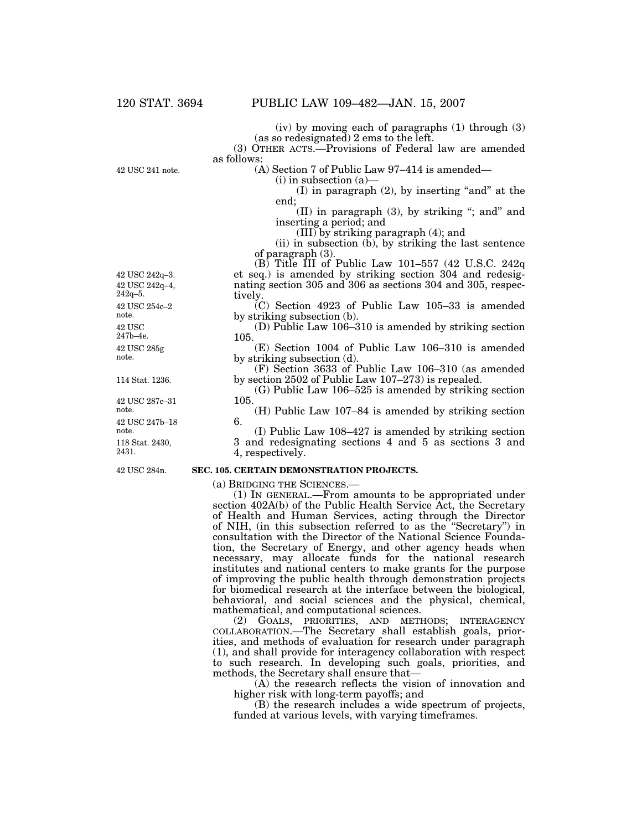(iv) by moving each of paragraphs (1) through (3) (as so redesignated) 2 ems to the left.

(3) OTHER ACTS.—Provisions of Federal law are amended as follows:

42 USC 241 note.

(A) Section 7 of Public Law 97–414 is amended— (i) in subsection (a)—

 $(I)$  in paragraph  $(2)$ , by inserting "and" at the end;

(II) in paragraph  $(3)$ , by striking "; and" and inserting a period; and

(III) by striking paragraph (4); and

(ii) in subsection  $(b)$ , by striking the last sentence of paragraph (3).

 $(B)$  Title III of Public Law 101–557 (42 U.S.C. 242q) et seq.) is amended by striking section 304 and redesignating section 305 and 306 as sections 304 and 305, respectively.

(C) Section 4923 of Public Law 105–33 is amended by striking subsection (b).

(D) Public Law 106–310 is amended by striking section 105.

(E) Section 1004 of Public Law 106–310 is amended by striking subsection (d).

(F) Section 3633 of Public Law 106–310 (as amended by section 2502 of Public Law 107–273) is repealed.

(G) Public Law 106–525 is amended by striking section 105.

(H) Public Law 107–84 is amended by striking section 6.

(I) Public Law 108–427 is amended by striking section 3 and redesignating sections 4 and 5 as sections 3 and 4, respectively.

42 USC 284n.

# **SEC. 105. CERTAIN DEMONSTRATION PROJECTS.**

(a) BRIDGING THE SCIENCES.— (1) IN GENERAL.—From amounts to be appropriated under section 402A(b) of the Public Health Service Act, the Secretary of Health and Human Services, acting through the Director of NIH, (in this subsection referred to as the ''Secretary'') in consultation with the Director of the National Science Foundation, the Secretary of Energy, and other agency heads when necessary, may allocate funds for the national research institutes and national centers to make grants for the purpose of improving the public health through demonstration projects for biomedical research at the interface between the biological, behavioral, and social sciences and the physical, chemical, mathematical, and computational sciences.

(2) GOALS, PRIORITIES, AND METHODS; INTERAGENCY COLLABORATION.—The Secretary shall establish goals, priorities, and methods of evaluation for research under paragraph (1), and shall provide for interagency collaboration with respect to such research. In developing such goals, priorities, and methods, the Secretary shall ensure that—

(A) the research reflects the vision of innovation and higher risk with long-term payoffs; and

(B) the research includes a wide spectrum of projects, funded at various levels, with varying timeframes.

114 Stat. 1236. 42 USC 285g note. 42 USC 247b–4e. 42 USC 254c–2 note. 42 USC 242q–4, 242q–5. 42 USC 242q–3.

118 Stat. 2430, 2431. 42 USC 247b–18 note. 42 USC 287c–31 note.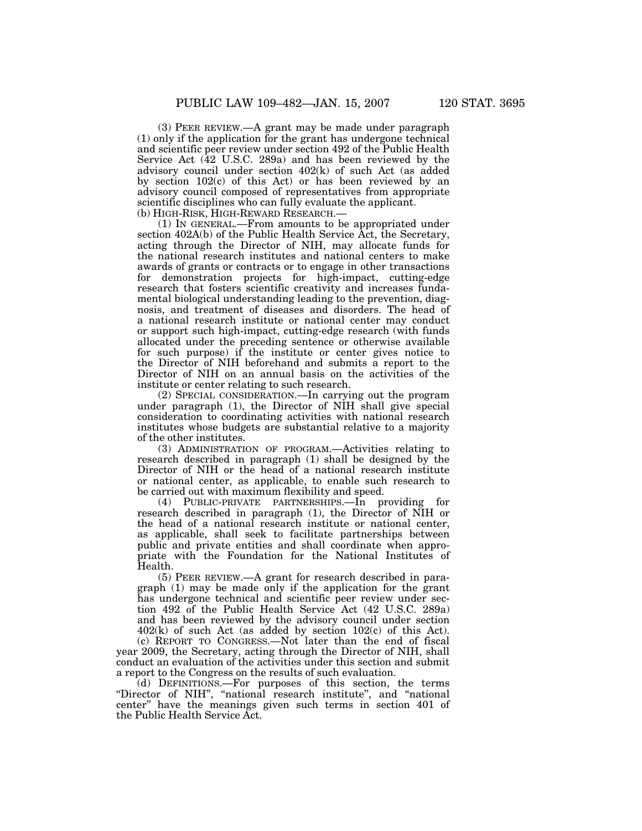(3) PEER REVIEW.—A grant may be made under paragraph (1) only if the application for the grant has undergone technical and scientific peer review under section 492 of the Public Health Service Act (42 U.S.C. 289a) and has been reviewed by the advisory council under section 402(k) of such Act (as added by section 102(c) of this Act) or has been reviewed by an advisory council composed of representatives from appropriate scientific disciplines who can fully evaluate the applicant. (b) HIGH-RISK, HIGH-REWARD RESEARCH.—

(1) IN GENERAL.—From amounts to be appropriated under section 402A(b) of the Public Health Service Act, the Secretary, acting through the Director of NIH, may allocate funds for the national research institutes and national centers to make awards of grants or contracts or to engage in other transactions for demonstration projects for high-impact, cutting-edge research that fosters scientific creativity and increases fundamental biological understanding leading to the prevention, diagnosis, and treatment of diseases and disorders. The head of a national research institute or national center may conduct or support such high-impact, cutting-edge research (with funds allocated under the preceding sentence or otherwise available for such purpose) if the institute or center gives notice to the Director of NIH beforehand and submits a report to the Director of NIH on an annual basis on the activities of the institute or center relating to such research.

(2) SPECIAL CONSIDERATION.—In carrying out the program under paragraph (1), the Director of NIH shall give special consideration to coordinating activities with national research institutes whose budgets are substantial relative to a majority of the other institutes.

(3) ADMINISTRATION OF PROGRAM.—Activities relating to research described in paragraph (1) shall be designed by the Director of NIH or the head of a national research institute or national center, as applicable, to enable such research to be carried out with maximum flexibility and speed.

(4) PUBLIC-PRIVATE PARTNERSHIPS.—In providing for research described in paragraph (1), the Director of NIH or the head of a national research institute or national center, as applicable, shall seek to facilitate partnerships between public and private entities and shall coordinate when appropriate with the Foundation for the National Institutes of Health.

(5) PEER REVIEW.—A grant for research described in paragraph (1) may be made only if the application for the grant has undergone technical and scientific peer review under section 492 of the Public Health Service Act (42 U.S.C. 289a) and has been reviewed by the advisory council under section 402(k) of such Act (as added by section 102(c) of this Act).

(c) REPORT TO CONGRESS.—Not later than the end of fiscal year 2009, the Secretary, acting through the Director of NIH, shall conduct an evaluation of the activities under this section and submit a report to the Congress on the results of such evaluation.

(d) DEFINITIONS.—For purposes of this section, the terms ''Director of NIH'', ''national research institute'', and ''national center'' have the meanings given such terms in section 401 of the Public Health Service Act.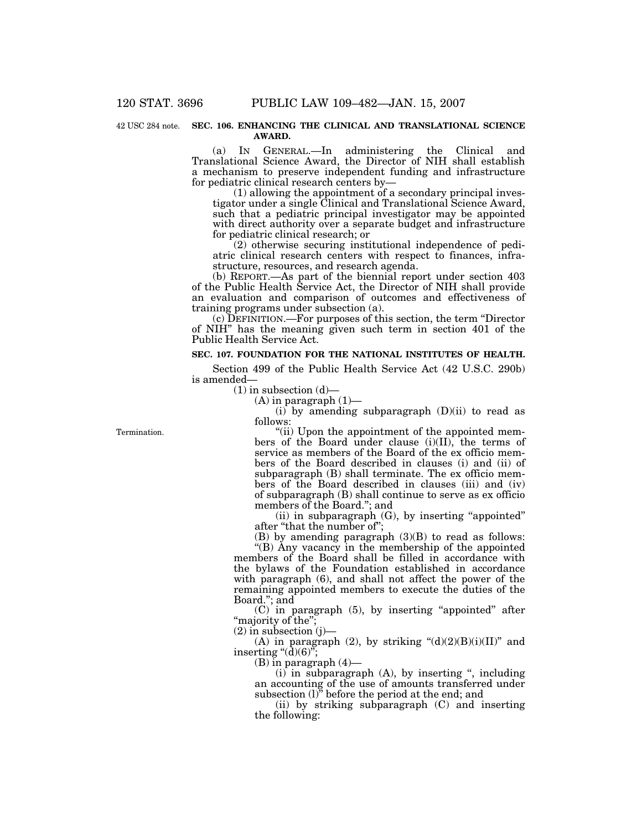#### 42 USC 284 note. SEC. 106. ENHANCING THE CLINICAL AND TRANSLATIONAL SCIENCE **AWARD.**

(a) IN GENERAL.—In administering the Clinical and Translational Science Award, the Director of NIH shall establish a mechanism to preserve independent funding and infrastructure for pediatric clinical research centers by—

 $(1)$  allowing the appointment of a secondary principal investigator under a single Clinical and Translational Science Award, such that a pediatric principal investigator may be appointed with direct authority over a separate budget and infrastructure for pediatric clinical research; or

(2) otherwise securing institutional independence of pediatric clinical research centers with respect to finances, infrastructure, resources, and research agenda.

(b) REPORT.—As part of the biennial report under section 403 of the Public Health Service Act, the Director of NIH shall provide an evaluation and comparison of outcomes and effectiveness of training programs under subsection (a).

(c) DEFINITION.—For purposes of this section, the term ''Director of NIH'' has the meaning given such term in section 401 of the Public Health Service Act.

# **SEC. 107. FOUNDATION FOR THE NATIONAL INSTITUTES OF HEALTH.**

Section 499 of the Public Health Service Act (42 U.S.C. 290b) is amended—

 $(1)$  in subsection  $(d)$ —

 $(A)$  in paragraph  $(1)$ —

 $(i)$  by amending subparagraph  $(D)(ii)$  to read as follows:

''(ii) Upon the appointment of the appointed members of the Board under clause (i)(II), the terms of service as members of the Board of the ex officio members of the Board described in clauses (i) and (ii) of subparagraph (B) shall terminate. The ex officio members of the Board described in clauses (iii) and (iv) of subparagraph (B) shall continue to serve as ex officio members of the Board.''; and

(ii) in subparagraph (G), by inserting ''appointed'' after ''that the number of'';

(B) by amending paragraph (3)(B) to read as follows: ''(B) Any vacancy in the membership of the appointed members of the Board shall be filled in accordance with the bylaws of the Foundation established in accordance with paragraph (6), and shall not affect the power of the remaining appointed members to execute the duties of the Board.''; and

(C) in paragraph (5), by inserting ''appointed'' after "majority of the";

 $(2)$  in subsection  $(i)$ 

(A) in paragraph (2), by striking  $\text{``}(d)(2)(B)(i)(II)^{v}$  and inserting " $(d)(6)$ ";

(B) in paragraph (4)—

 $(i)$  in subparagraph  $(A)$ , by inserting ", including an accounting of the use of amounts transferred under subsection (1)" before the period at the end; and

(ii) by striking subparagraph (C) and inserting the following:

**Termination**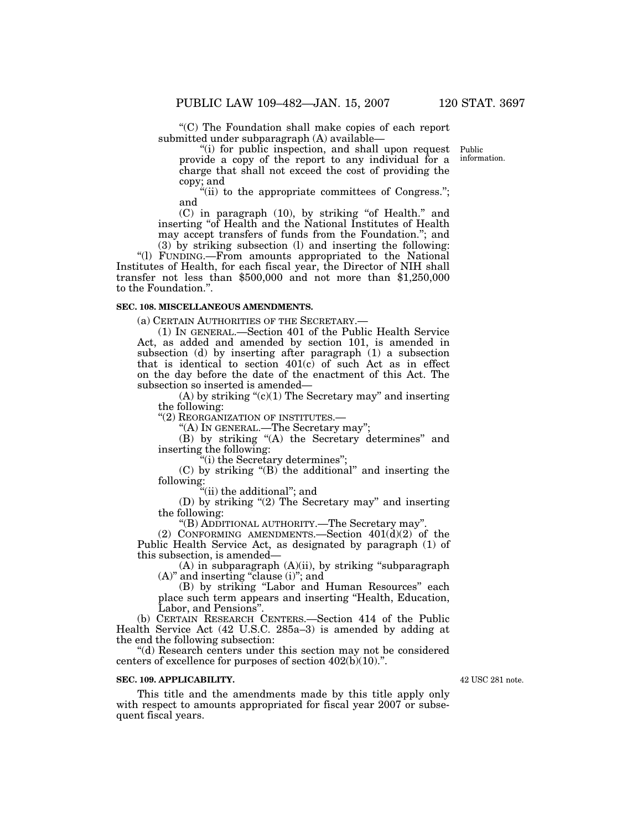''(C) The Foundation shall make copies of each report submitted under subparagraph (A) available—

"(i) for public inspection, and shall upon request provide a copy of the report to any individual for a charge that shall not exceed the cost of providing the copy; and

"(ii) to the appropriate committees of Congress."; and

(C) in paragraph (10), by striking ''of Health.'' and inserting ''of Health and the National Institutes of Health may accept transfers of funds from the Foundation.''; and (3) by striking subsection (l) and inserting the following:

''(l) FUNDING.—From amounts appropriated to the National Institutes of Health, for each fiscal year, the Director of NIH shall transfer not less than \$500,000 and not more than \$1,250,000 to the Foundation.''.

## **SEC. 108. MISCELLANEOUS AMENDMENTS.**

(a) CERTAIN AUTHORITIES OF THE SECRETARY.—

(1) IN GENERAL.—Section 401 of the Public Health Service Act, as added and amended by section 101, is amended in subsection (d) by inserting after paragraph  $(1)$  a subsection that is identical to section  $401(c)$  of such Act as in effect on the day before the date of the enactment of this Act. The subsection so inserted is amended—

 $(A)$  by striking " $(c)(1)$  The Secretary may" and inserting the following:

"(2) REORGANIZATION OF INSTITUTES.-

''(A) IN GENERAL.—The Secretary may'';

(B) by striking "(A) the Secretary determines" and inserting the following:

''(i) the Secretary determines'';

 $(C)$  by striking " $(B)$  the additional" and inserting the following:

''(ii) the additional''; and

(D) by striking "(2) The Secretary may" and inserting the following:

''(B) ADDITIONAL AUTHORITY.—The Secretary may''.

(2) CONFORMING AMENDMENTS.—Section  $401(d)(2)$  of the Public Health Service Act, as designated by paragraph (1) of this subsection, is amended—

 $(A)$  in subparagraph  $(A)(ii)$ , by striking "subparagraph (A)" and inserting "clause (i)"; and

(B) by striking ''Labor and Human Resources'' each place such term appears and inserting ''Health, Education, Labor, and Pensions''.

(b) CERTAIN RESEARCH CENTERS.—Section 414 of the Public Health Service Act (42 U.S.C. 285a–3) is amended by adding at the end the following subsection:

''(d) Research centers under this section may not be considered centers of excellence for purposes of section 402(b)(10).''.

# **SEC. 109. APPLICABILITY.**

This title and the amendments made by this title apply only with respect to amounts appropriated for fiscal year 2007 or subsequent fiscal years.

42 USC 281 note.

Public information.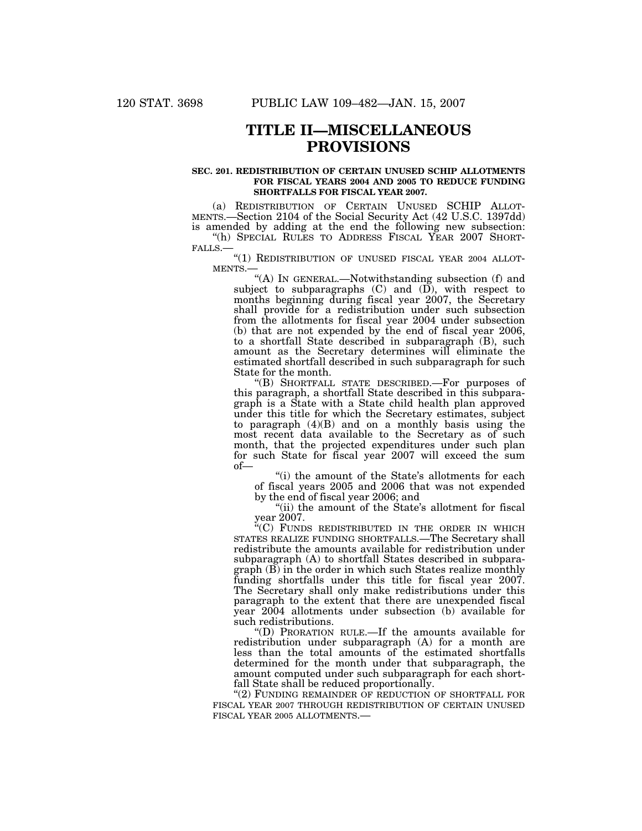# **TITLE II—MISCELLANEOUS PROVISIONS**

### **SEC. 201. REDISTRIBUTION OF CERTAIN UNUSED SCHIP ALLOTMENTS FOR FISCAL YEARS 2004 AND 2005 TO REDUCE FUNDING SHORTFALLS FOR FISCAL YEAR 2007.**

(a) REDISTRIBUTION OF CERTAIN UNUSED SCHIP ALLOT- MENTS.—Section 2104 of the Social Security Act (42 U.S.C. 1397dd) is amended by adding at the end the following new subsection: "(h) SPECIAL RULES TO ADDRESS FISCAL YEAR 2007 SHORT-

"(h) SPECIAL RULES TO ADDRESS FISCAL YEAR 2007 SHORT-<br>FALLS.—<br>"(1) REDISTRIBUTION OF UNUSED FISCAL YEAR 2004 ALLOT-<br>MENTS.—

''(A) IN GENERAL.—Notwithstanding subsection (f) and subject to subparagraphs  $(C)$  and  $(\overrightarrow{D})$ , with respect to months beginning during fiscal year 2007, the Secretary shall provide for a redistribution under such subsection from the allotments for fiscal year 2004 under subsection (b) that are not expended by the end of fiscal year 2006, to a shortfall State described in subparagraph (B), such amount as the Secretary determines will eliminate the estimated shortfall described in such subparagraph for such State for the month.

''(B) SHORTFALL STATE DESCRIBED.—For purposes of this paragraph, a shortfall State described in this subparagraph is a State with a State child health plan approved under this title for which the Secretary estimates, subject to paragraph (4)(B) and on a monthly basis using the most recent data available to the Secretary as of such month, that the projected expenditures under such plan for such State for fiscal year 2007 will exceed the sum of—

"(i) the amount of the State's allotments for each of fiscal years 2005 and 2006 that was not expended by the end of fiscal year 2006; and

"(ii) the amount of the State's allotment for fiscal year 2007.

 $K$ <sup>c</sup>(C) FUNDS REDISTRIBUTED IN THE ORDER IN WHICH STATES REALIZE FUNDING SHORTFALLS.—The Secretary shall redistribute the amounts available for redistribution under subparagraph (A) to shortfall States described in subparagraph (B) in the order in which such States realize monthly funding shortfalls under this title for fiscal year 2007. The Secretary shall only make redistributions under this paragraph to the extent that there are unexpended fiscal year 2004 allotments under subsection (b) available for such redistributions.

''(D) PRORATION RULE.—If the amounts available for redistribution under subparagraph (A) for a month are less than the total amounts of the estimated shortfalls determined for the month under that subparagraph, the amount computed under such subparagraph for each shortfall State shall be reduced proportionally.

"(2) FUNDING REMAINDER OF REDUCTION OF SHORTFALL FOR FISCAL YEAR 2007 THROUGH REDISTRIBUTION OF CERTAIN UNUSED FISCAL YEAR 2005 ALLOTMENTS.—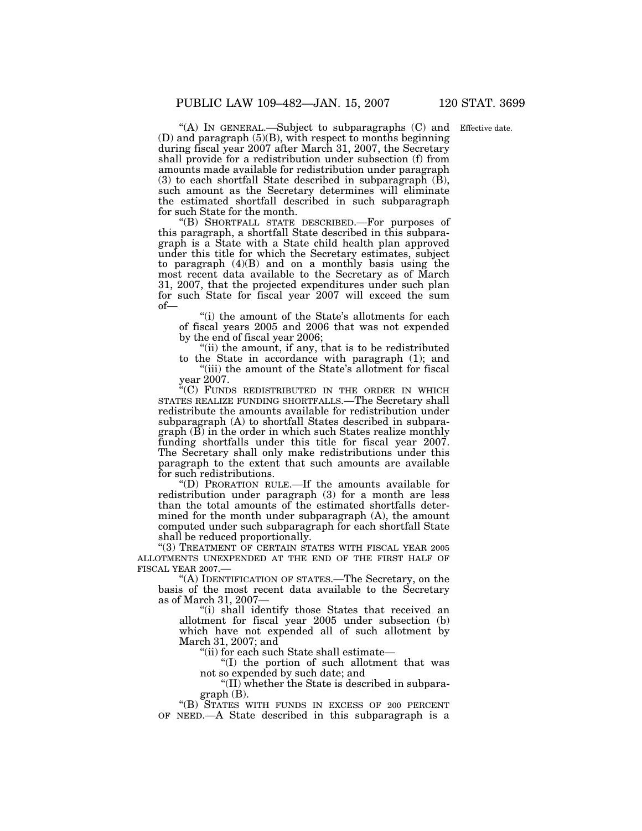"(A) IN GENERAL.—Subject to subparagraphs (C) and Effective date.  $(D)$  and paragraph  $(5)(B)$ , with respect to months beginning during fiscal year 2007 after March 31, 2007, the Secretary shall provide for a redistribution under subsection (f) from amounts made available for redistribution under paragraph  $(3)$  to each shortfall State described in subparagraph  $(\bar{B})$ , such amount as the Secretary determines will eliminate the estimated shortfall described in such subparagraph for such State for the month.

''(B) SHORTFALL STATE DESCRIBED.—For purposes of this paragraph, a shortfall State described in this subparagraph is a State with a State child health plan approved under this title for which the Secretary estimates, subject to paragraph (4)(B) and on a monthly basis using the most recent data available to the Secretary as of March 31, 2007, that the projected expenditures under such plan for such State for fiscal year 2007 will exceed the sum of—

''(i) the amount of the State's allotments for each of fiscal years 2005 and 2006 that was not expended by the end of fiscal year 2006;

"(ii) the amount, if any, that is to be redistributed to the State in accordance with paragraph (1); and

"(iii) the amount of the State's allotment for fiscal year 2007.

''(C) FUNDS REDISTRIBUTED IN THE ORDER IN WHICH STATES REALIZE FUNDING SHORTFALLS.—The Secretary shall redistribute the amounts available for redistribution under subparagraph (A) to shortfall States described in subparagraph (B) in the order in which such States realize monthly funding shortfalls under this title for fiscal year 2007. The Secretary shall only make redistributions under this paragraph to the extent that such amounts are available for such redistributions.

''(D) PRORATION RULE.—If the amounts available for redistribution under paragraph (3) for a month are less than the total amounts of the estimated shortfalls determined for the month under subparagraph (A), the amount computed under such subparagraph for each shortfall State shall be reduced proportionally.

"(3) TREATMENT OF CERTAIN STATES WITH FISCAL YEAR 2005 ALLOTMENTS UNEXPENDED AT THE END OF THE FIRST HALF OF FISCAL YEAR 2007.—

''(A) IDENTIFICATION OF STATES.—The Secretary, on the basis of the most recent data available to the Secretary as of March 31, 2007—

''(i) shall identify those States that received an allotment for fiscal year 2005 under subsection (b) which have not expended all of such allotment by March 31, 2007; and

''(ii) for each such State shall estimate—

''(I) the portion of such allotment that was not so expended by such date; and

''(II) whether the State is described in subparagraph (B).

''(B) STATES WITH FUNDS IN EXCESS OF 200 PERCENT OF NEED.—A State described in this subparagraph is a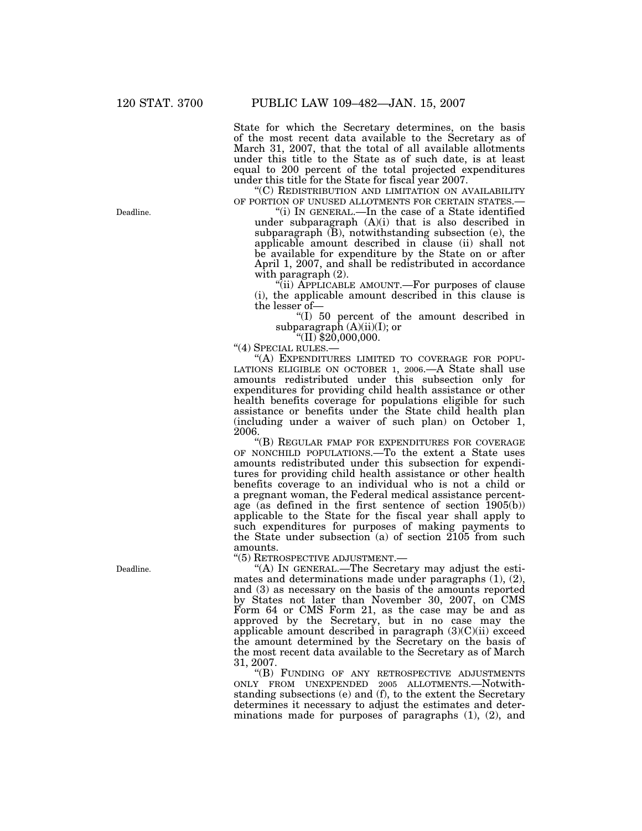State for which the Secretary determines, on the basis of the most recent data available to the Secretary as of March 31, 2007, that the total of all available allotments under this title to the State as of such date, is at least equal to 200 percent of the total projected expenditures under this title for the State for fiscal year 2007.

 $\degree$ (C) REDISTRIBUTION AND LIMITATION ON AVAILABILITY OF PORTION OF UNUSED ALLOTMENTS FOR CERTAIN STATES.—

"(i) IN GENERAL.—In the case of a State identified under subparagraph  $(A)(i)$  that is also described in subparagraph (B), notwithstanding subsection (e), the applicable amount described in clause (ii) shall not be available for expenditure by the State on or after April 1, 2007, and shall be redistributed in accordance with paragraph (2).

"(ii) APPLICABLE AMOUNT.—For purposes of clause (i), the applicable amount described in this clause is the lesser of—

''(I) 50 percent of the amount described in subparagraph  $(A)(ii)(I)$ ; or "(II) \$20,000,000.

''(4) SPECIAL RULES.—

''(A) EXPENDITURES LIMITED TO COVERAGE FOR POPU-LATIONS ELIGIBLE ON OCTOBER 1, 2006.—A State shall use amounts redistributed under this subsection only for expenditures for providing child health assistance or other health benefits coverage for populations eligible for such assistance or benefits under the State child health plan (including under a waiver of such plan) on October 1, 2006.

''(B) REGULAR FMAP FOR EXPENDITURES FOR COVERAGE OF NONCHILD POPULATIONS.—To the extent a State uses amounts redistributed under this subsection for expenditures for providing child health assistance or other health benefits coverage to an individual who is not a child or a pregnant woman, the Federal medical assistance percentage (as defined in the first sentence of section 1905(b)) applicable to the State for the fiscal year shall apply to such expenditures for purposes of making payments to the State under subsection (a) of section 2105 from such amounts.

''(5) RETROSPECTIVE ADJUSTMENT.—

''(A) IN GENERAL.—The Secretary may adjust the estimates and determinations made under paragraphs (1), (2), and (3) as necessary on the basis of the amounts reported by States not later than November 30, 2007, on CMS Form 64 or CMS Form 21, as the case may be and as approved by the Secretary, but in no case may the applicable amount described in paragraph (3)(C)(ii) exceed the amount determined by the Secretary on the basis of the most recent data available to the Secretary as of March 31, 2007.

''(B) FUNDING OF ANY RETROSPECTIVE ADJUSTMENTS ONLY FROM UNEXPENDED 2005 ALLOTMENTS.—Notwithstanding subsections (e) and (f), to the extent the Secretary determines it necessary to adjust the estimates and determinations made for purposes of paragraphs (1), (2), and

Deadline.

Deadline.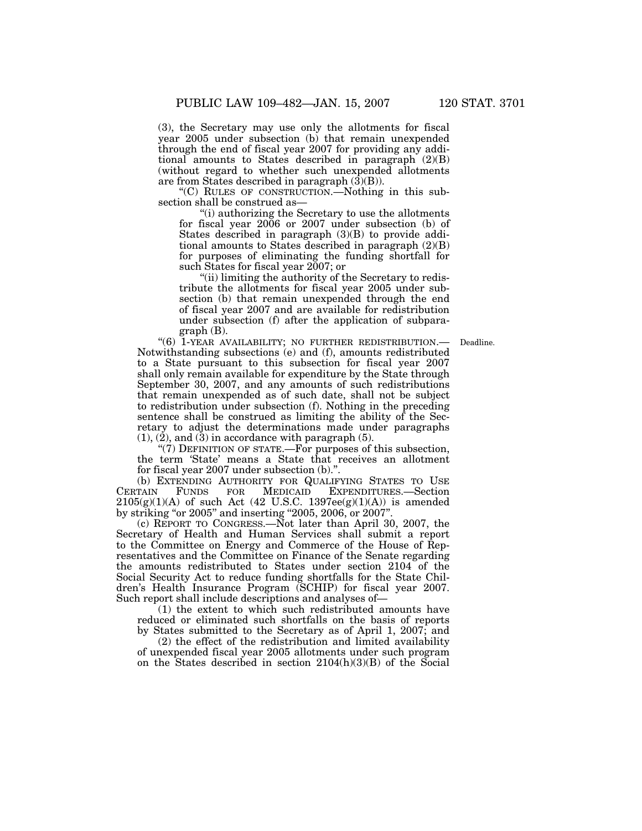(3), the Secretary may use only the allotments for fiscal year 2005 under subsection (b) that remain unexpended through the end of fiscal year 2007 for providing any additional amounts to States described in paragraph (2)(B) (without regard to whether such unexpended allotments are from States described in paragraph (3)(B)).

''(C) RULES OF CONSTRUCTION.—Nothing in this subsection shall be construed as—

''(i) authorizing the Secretary to use the allotments for fiscal year 2006 or 2007 under subsection (b) of States described in paragraph (3)(B) to provide additional amounts to States described in paragraph (2)(B) for purposes of eliminating the funding shortfall for such States for fiscal year 2007; or

''(ii) limiting the authority of the Secretary to redistribute the allotments for fiscal year 2005 under subsection (b) that remain unexpended through the end of fiscal year 2007 and are available for redistribution under subsection (f) after the application of subparagraph (B).

Deadline.

"(6) 1-YEAR AVAILABILITY; NO FURTHER REDISTRIBUTION.-Notwithstanding subsections (e) and (f), amounts redistributed to a State pursuant to this subsection for fiscal year 2007 shall only remain available for expenditure by the State through September 30, 2007, and any amounts of such redistributions that remain unexpended as of such date, shall not be subject to redistribution under subsection (f). Nothing in the preceding sentence shall be construed as limiting the ability of the Secretary to adjust the determinations made under paragraphs  $(1)$ ,  $(2)$ , and  $(3)$  in accordance with paragraph  $(5)$ .

" $(7)$  DEFINITION OF STATE.—For purposes of this subsection, the term 'State' means a State that receives an allotment for fiscal year 2007 under subsection (b).''.

(b) EXTENDING AUTHORITY FOR QUALIFYING STATES TO USE<br>CERTAIN FUNDS FOR MEDICAID EXPENDITURES.—Section FOR MEDICAID EXPENDITURES.-Section  $2105(g)(1)(A)$  of such Act (42 U.S.C. 1397ee(g)(1)(A)) is amended by striking "or 2005" and inserting "2005, 2006, or 2007".

(c) REPORT TO CONGRESS.—Not later than April 30, 2007, the Secretary of Health and Human Services shall submit a report to the Committee on Energy and Commerce of the House of Representatives and the Committee on Finance of the Senate regarding the amounts redistributed to States under section 2104 of the Social Security Act to reduce funding shortfalls for the State Children's Health Insurance Program (SCHIP) for fiscal year 2007. Such report shall include descriptions and analyses of—

(1) the extent to which such redistributed amounts have reduced or eliminated such shortfalls on the basis of reports by States submitted to the Secretary as of April 1, 2007; and

(2) the effect of the redistribution and limited availability of unexpended fiscal year 2005 allotments under such program on the States described in section 2104(h)(3)(B) of the Social